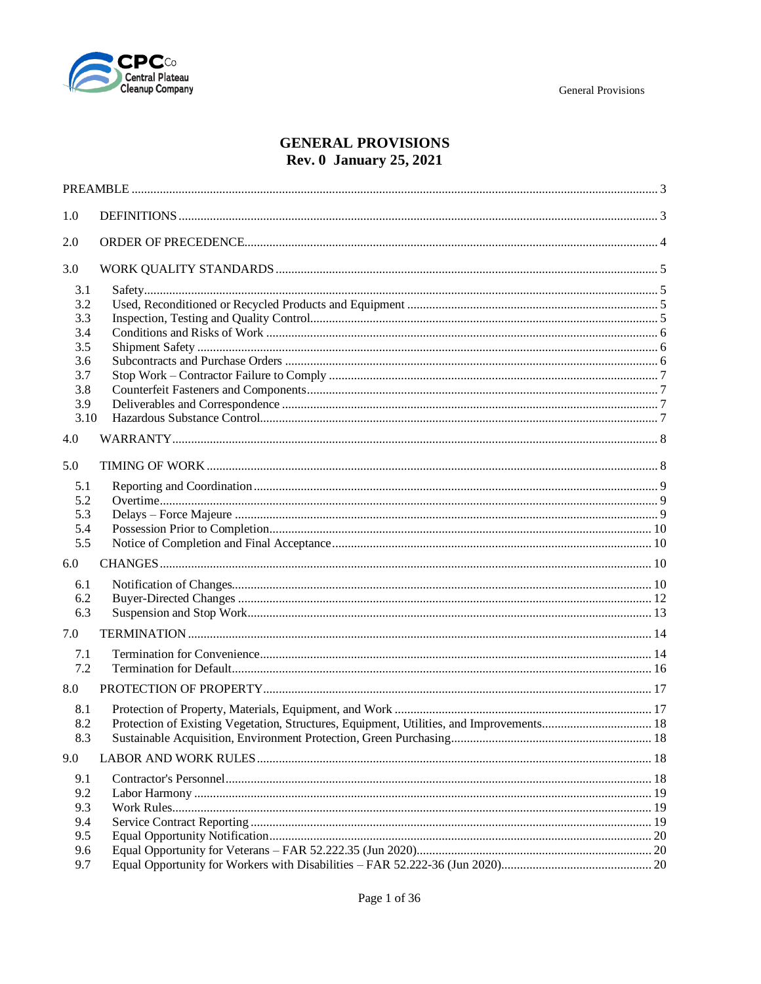

# **GENERAL PROVISIONS** Rev. 0 January 25, 2021

| 1.0         |                                                                                          |  |  |  |  |
|-------------|------------------------------------------------------------------------------------------|--|--|--|--|
| 2.0         |                                                                                          |  |  |  |  |
| 3.0         |                                                                                          |  |  |  |  |
| 3.1         |                                                                                          |  |  |  |  |
| 3.2         |                                                                                          |  |  |  |  |
| 3.3<br>3.4  |                                                                                          |  |  |  |  |
| 3.5         |                                                                                          |  |  |  |  |
| 3.6         |                                                                                          |  |  |  |  |
| 3.7         |                                                                                          |  |  |  |  |
| 3.8         |                                                                                          |  |  |  |  |
| 3.9<br>3.10 |                                                                                          |  |  |  |  |
|             |                                                                                          |  |  |  |  |
| 4.0         |                                                                                          |  |  |  |  |
| 5.0         |                                                                                          |  |  |  |  |
| 5.1         |                                                                                          |  |  |  |  |
| 5.2         |                                                                                          |  |  |  |  |
| 5.3         |                                                                                          |  |  |  |  |
| 5.4<br>5.5  |                                                                                          |  |  |  |  |
| 6.0         |                                                                                          |  |  |  |  |
|             |                                                                                          |  |  |  |  |
| 6.1<br>6.2  |                                                                                          |  |  |  |  |
| 6.3         |                                                                                          |  |  |  |  |
| 7.0         |                                                                                          |  |  |  |  |
| 7.1         |                                                                                          |  |  |  |  |
| 7.2         |                                                                                          |  |  |  |  |
| 8.0         |                                                                                          |  |  |  |  |
| 8.1         |                                                                                          |  |  |  |  |
| 8.2         | Protection of Existing Vegetation, Structures, Equipment, Utilities, and Improvements 18 |  |  |  |  |
| 8.3         |                                                                                          |  |  |  |  |
| 9.0         |                                                                                          |  |  |  |  |
| 9.1         |                                                                                          |  |  |  |  |
| 9.2         |                                                                                          |  |  |  |  |
| 9.3         |                                                                                          |  |  |  |  |
| 9.4<br>9.5  |                                                                                          |  |  |  |  |
| 9.6         |                                                                                          |  |  |  |  |
| 9.7         |                                                                                          |  |  |  |  |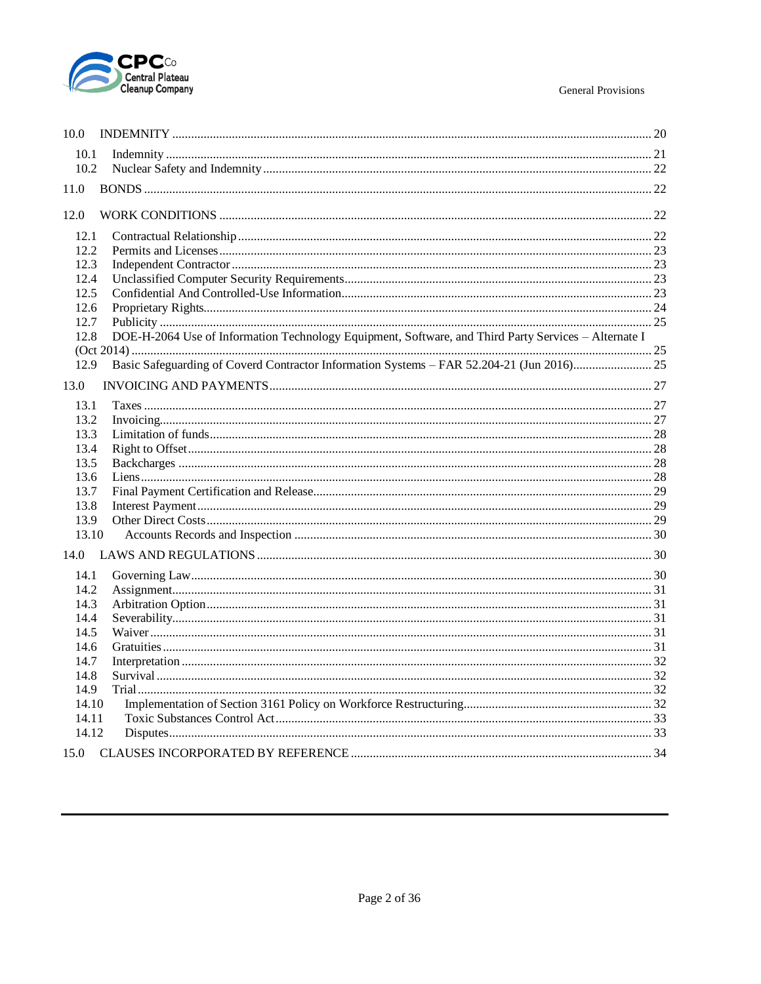

#### General Provisions

| 10.0          |                                                                                                      |  |
|---------------|------------------------------------------------------------------------------------------------------|--|
| 10.1          |                                                                                                      |  |
| 10.2          |                                                                                                      |  |
| 11.0          |                                                                                                      |  |
| 12.0          |                                                                                                      |  |
| 12.1          |                                                                                                      |  |
| 12.2          |                                                                                                      |  |
| 12.3          |                                                                                                      |  |
| 12.4          |                                                                                                      |  |
| 12.5          |                                                                                                      |  |
| 12.6          |                                                                                                      |  |
| 12.7<br>12.8  | DOE-H-2064 Use of Information Technology Equipment, Software, and Third Party Services - Alternate I |  |
|               |                                                                                                      |  |
| 12.9          |                                                                                                      |  |
| 13.0          |                                                                                                      |  |
| 13.1          |                                                                                                      |  |
| 13.2          |                                                                                                      |  |
| 13.3          |                                                                                                      |  |
| 13.4          |                                                                                                      |  |
| 13.5          |                                                                                                      |  |
| 13.6          |                                                                                                      |  |
| 13.7          |                                                                                                      |  |
| 13.8          |                                                                                                      |  |
| 13.9<br>13.10 |                                                                                                      |  |
|               |                                                                                                      |  |
| 14.0          |                                                                                                      |  |
| 14.1          |                                                                                                      |  |
| 14.2          |                                                                                                      |  |
| 14.3<br>14.4  |                                                                                                      |  |
| 14.5          |                                                                                                      |  |
| 14.6          |                                                                                                      |  |
| 14.7          |                                                                                                      |  |
| 14.8          |                                                                                                      |  |
| 14.9          |                                                                                                      |  |
| 14.10         |                                                                                                      |  |
| 14.11         |                                                                                                      |  |
| 14.12         |                                                                                                      |  |
| 15.0          |                                                                                                      |  |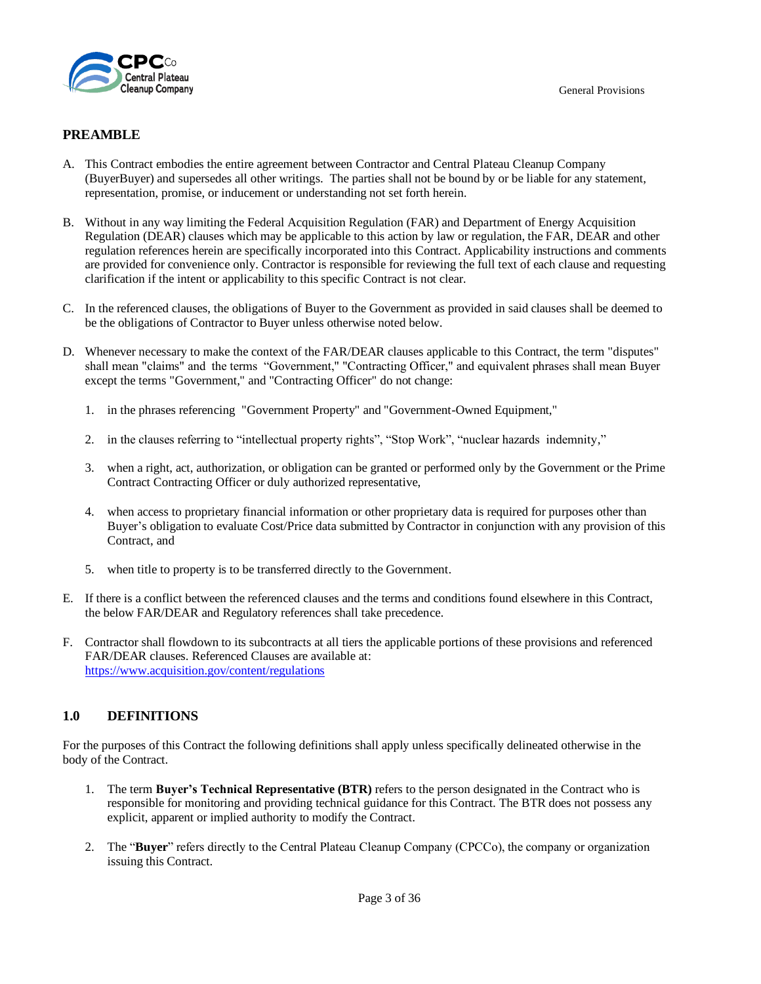

#### <span id="page-2-0"></span>**PREAMBLE**

- A. This Contract embodies the entire agreement between Contractor and Central Plateau Cleanup Company (BuyerBuyer) and supersedes all other writings. The parties shall not be bound by or be liable for any statement, representation, promise, or inducement or understanding not set forth herein.
- B. Without in any way limiting the Federal Acquisition Regulation (FAR) and Department of Energy Acquisition Regulation (DEAR) clauses which may be applicable to this action by law or regulation, the FAR, DEAR and other regulation references herein are specifically incorporated into this Contract. Applicability instructions and comments are provided for convenience only. Contractor is responsible for reviewing the full text of each clause and requesting clarification if the intent or applicability to this specific Contract is not clear.
- C. In the referenced clauses, the obligations of Buyer to the Government as provided in said clauses shall be deemed to be the obligations of Contractor to Buyer unless otherwise noted below.
- D. Whenever necessary to make the context of the FAR/DEAR clauses applicable to this Contract, the term "disputes" shall mean "claims" and the terms "Government," "Contracting Officer," and equivalent phrases shall mean Buyer except the terms "Government," and "Contracting Officer" do not change:
	- 1. in the phrases referencing "Government Property" and "Government-Owned Equipment,"
	- 2. in the clauses referring to "intellectual property rights", "Stop Work", "nuclear hazards indemnity,"
	- 3. when a right, act, authorization, or obligation can be granted or performed only by the Government or the Prime Contract Contracting Officer or duly authorized representative,
	- 4. when access to proprietary financial information or other proprietary data is required for purposes other than Buyer's obligation to evaluate Cost/Price data submitted by Contractor in conjunction with any provision of this Contract, and
	- 5. when title to property is to be transferred directly to the Government.
- E. If there is a conflict between the referenced clauses and the terms and conditions found elsewhere in this Contract, the below FAR/DEAR and Regulatory references shall take precedence.
- F. Contractor shall flowdown to its subcontracts at all tiers the applicable portions of these provisions and referenced FAR/DEAR clauses. Referenced Clauses are available at: <https://www.acquisition.gov/content/regulations>

#### <span id="page-2-1"></span>**1.0 DEFINITIONS**

For the purposes of this Contract the following definitions shall apply unless specifically delineated otherwise in the body of the Contract.

- 1. The term **Buyer's Technical Representative (BTR)** refers to the person designated in the Contract who is responsible for monitoring and providing technical guidance for this Contract. The BTR does not possess any explicit, apparent or implied authority to modify the Contract.
- 2. The "**Buyer**" refers directly to the Central Plateau Cleanup Company (CPCCo), the company or organization issuing this Contract.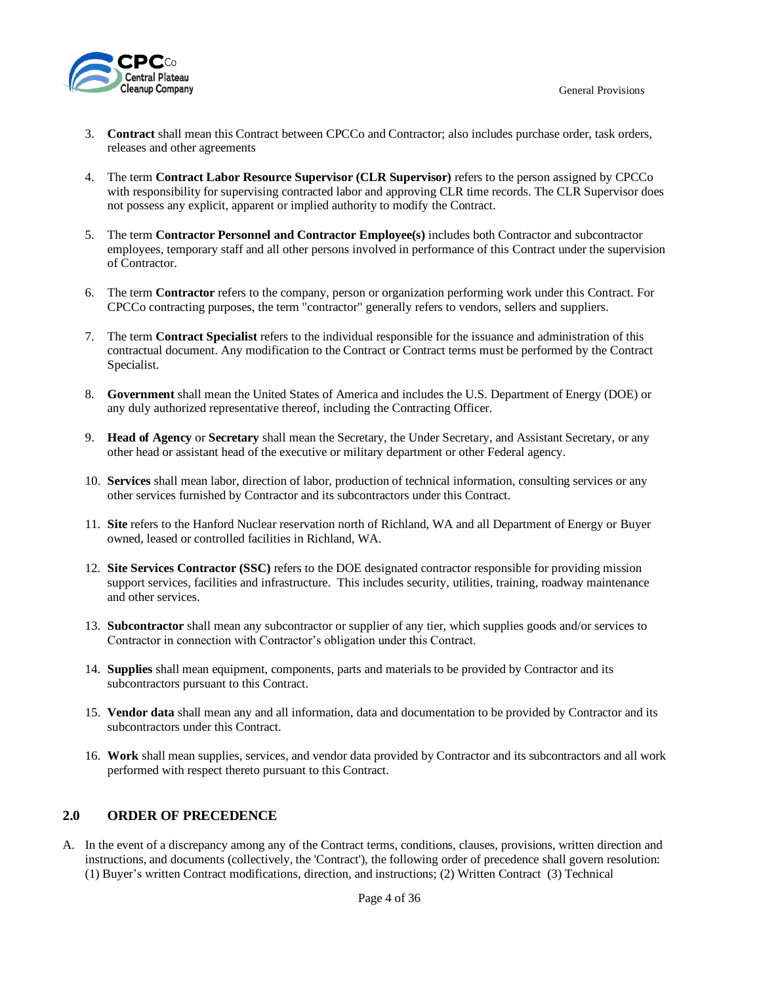

- 3. **Contract** shall mean this Contract between CPCCo and Contractor; also includes purchase order, task orders, releases and other agreements
- 4. The term **Contract Labor Resource Supervisor (CLR Supervisor)** refers to the person assigned by CPCCo with responsibility for supervising contracted labor and approving CLR time records. The CLR Supervisor does not possess any explicit, apparent or implied authority to modify the Contract.
- 5. The term **Contractor Personnel and Contractor Employee(s)** includes both Contractor and subcontractor employees, temporary staff and all other persons involved in performance of this Contract under the supervision of Contractor.
- 6. The term **Contractor** refers to the company, person or organization performing work under this Contract. For CPCCo contracting purposes, the term "contractor" generally refers to vendors, sellers and suppliers.
- 7. The term **Contract Specialist** refers to the individual responsible for the issuance and administration of this contractual document. Any modification to the Contract or Contract terms must be performed by the Contract Specialist.
- 8. **Government** shall mean the United States of America and includes the U.S. Department of Energy (DOE) or any duly authorized representative thereof, including the Contracting Officer.
- 9. **Head of Agency** or **Secretary** shall mean the Secretary, the Under Secretary, and Assistant Secretary, or any other head or assistant head of the executive or military department or other Federal agency.
- 10. **Services** shall mean labor, direction of labor, production of technical information, consulting services or any other services furnished by Contractor and its subcontractors under this Contract.
- 11. **Site** refers to the Hanford Nuclear reservation north of Richland, WA and all Department of Energy or Buyer owned, leased or controlled facilities in Richland, WA.
- 12. **Site Services Contractor (SSC)** refers to the DOE designated contractor responsible for providing mission support services, facilities and infrastructure. This includes security, utilities, training, roadway maintenance and other services.
- 13. **Subcontractor** shall mean any subcontractor or supplier of any tier, which supplies goods and/or services to Contractor in connection with Contractor's obligation under this Contract.
- 14. **Supplies** shall mean equipment, components, parts and materials to be provided by Contractor and its subcontractors pursuant to this Contract.
- 15. **Vendor data** shall mean any and all information, data and documentation to be provided by Contractor and its subcontractors under this Contract.
- 16. **Work** shall mean supplies, services, and vendor data provided by Contractor and its subcontractors and all work performed with respect thereto pursuant to this Contract.

#### <span id="page-3-0"></span>**2.0 ORDER OF PRECEDENCE**

A. In the event of a discrepancy among any of the Contract terms, conditions, clauses, provisions, written direction and instructions, and documents (collectively, the 'Contract'), the following order of precedence shall govern resolution: (1) Buyer's written Contract modifications, direction, and instructions; (2) Written Contract (3) Technical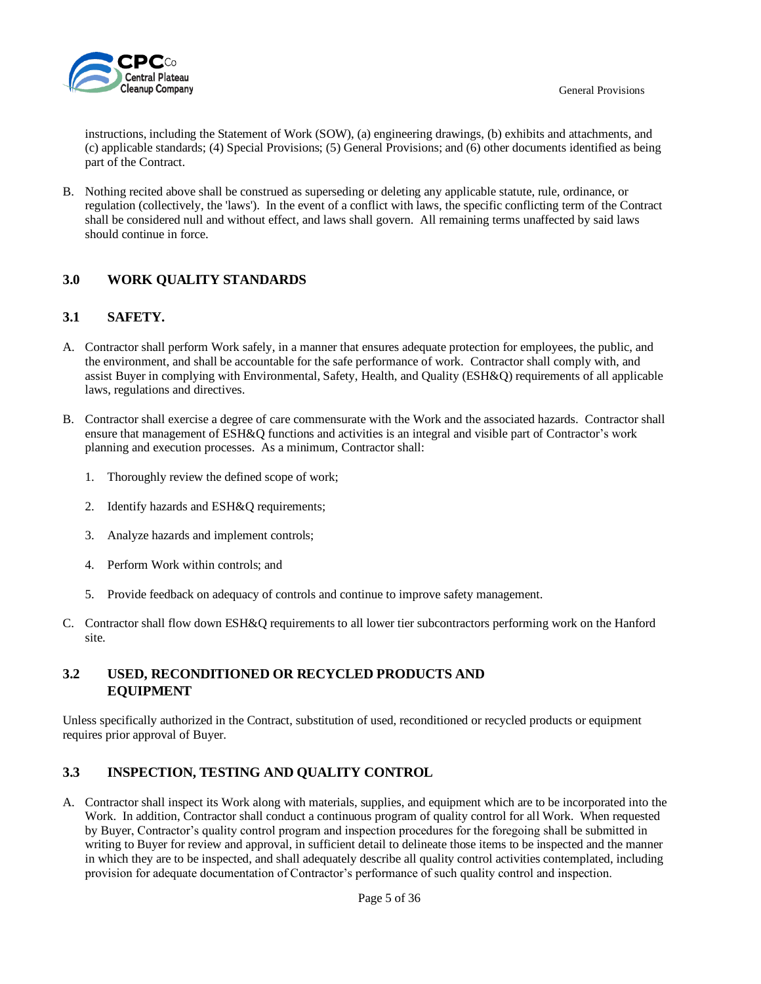

instructions, including the Statement of Work (SOW), (a) engineering drawings, (b) exhibits and attachments, and (c) applicable standards; (4) Special Provisions; (5) General Provisions; and (6) other documents identified as being part of the Contract.

B. Nothing recited above shall be construed as superseding or deleting any applicable statute, rule, ordinance, or regulation (collectively, the 'laws'). In the event of a conflict with laws, the specific conflicting term of the Contract shall be considered null and without effect, and laws shall govern. All remaining terms unaffected by said laws should continue in force.

## <span id="page-4-0"></span>**3.0 WORK QUALITY STANDARDS**

#### <span id="page-4-1"></span>**3.1 SAFETY.**

- A. Contractor shall perform Work safely, in a manner that ensures adequate protection for employees, the public, and the environment, and shall be accountable for the safe performance of work. Contractor shall comply with, and assist Buyer in complying with Environmental, Safety, Health, and Quality (ESH&Q) requirements of all applicable laws, regulations and directives.
- B. Contractor shall exercise a degree of care commensurate with the Work and the associated hazards. Contractor shall ensure that management of ESH&Q functions and activities is an integral and visible part of Contractor's work planning and execution processes. As a minimum, Contractor shall:
	- 1. Thoroughly review the defined scope of work;
	- 2. Identify hazards and ESH&Q requirements;
	- 3. Analyze hazards and implement controls;
	- 4. Perform Work within controls; and
	- 5. Provide feedback on adequacy of controls and continue to improve safety management.
- C. Contractor shall flow down ESH&Q requirements to all lower tier subcontractors performing work on the Hanford site.

#### <span id="page-4-2"></span>**3.2 USED, RECONDITIONED OR RECYCLED PRODUCTS AND EQUIPMENT**

Unless specifically authorized in the Contract, substitution of used, reconditioned or recycled products or equipment requires prior approval of Buyer.

## <span id="page-4-3"></span>**3.3 INSPECTION, TESTING AND QUALITY CONTROL**

A. Contractor shall inspect its Work along with materials, supplies, and equipment which are to be incorporated into the Work. In addition, Contractor shall conduct a continuous program of quality control for all Work. When requested by Buyer, Contractor's quality control program and inspection procedures for the foregoing shall be submitted in writing to Buyer for review and approval, in sufficient detail to delineate those items to be inspected and the manner in which they are to be inspected, and shall adequately describe all quality control activities contemplated, including provision for adequate documentation of Contractor's performance of such quality control and inspection.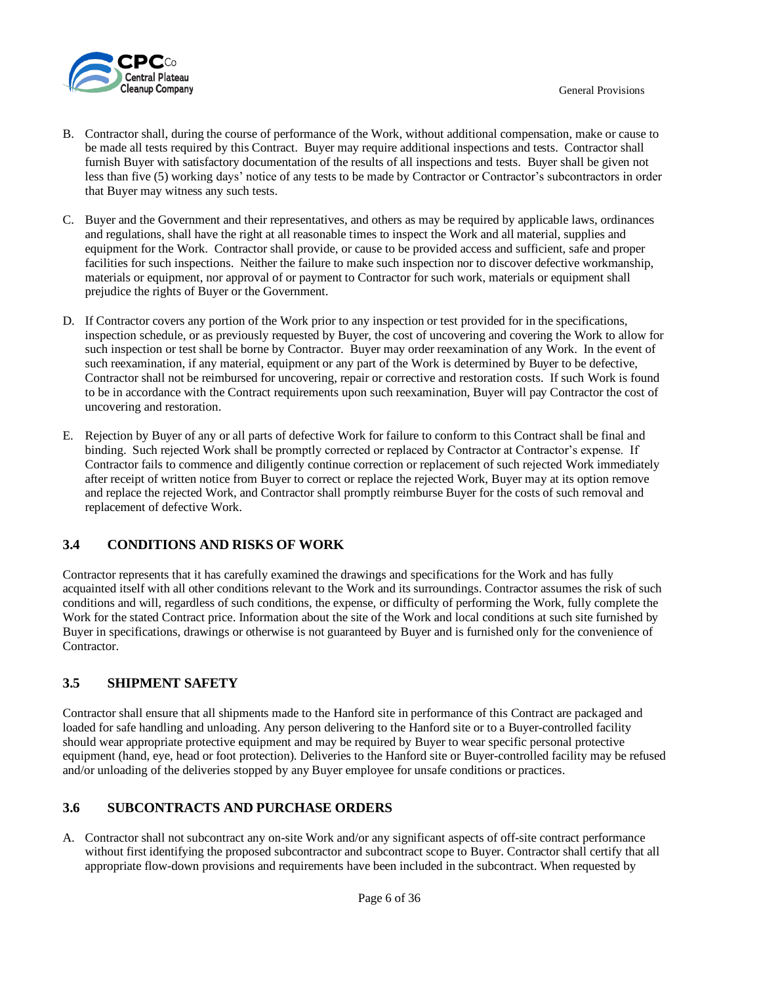

- B. Contractor shall, during the course of performance of the Work, without additional compensation, make or cause to be made all tests required by this Contract. Buyer may require additional inspections and tests. Contractor shall furnish Buyer with satisfactory documentation of the results of all inspections and tests. Buyer shall be given not less than five (5) working days' notice of any tests to be made by Contractor or Contractor's subcontractors in order that Buyer may witness any such tests.
- C. Buyer and the Government and their representatives, and others as may be required by applicable laws, ordinances and regulations, shall have the right at all reasonable times to inspect the Work and all material, supplies and equipment for the Work. Contractor shall provide, or cause to be provided access and sufficient, safe and proper facilities for such inspections. Neither the failure to make such inspection nor to discover defective workmanship, materials or equipment, nor approval of or payment to Contractor for such work, materials or equipment shall prejudice the rights of Buyer or the Government.
- D. If Contractor covers any portion of the Work prior to any inspection or test provided for in the specifications, inspection schedule, or as previously requested by Buyer, the cost of uncovering and covering the Work to allow for such inspection or test shall be borne by Contractor. Buyer may order reexamination of any Work. In the event of such reexamination, if any material, equipment or any part of the Work is determined by Buyer to be defective, Contractor shall not be reimbursed for uncovering, repair or corrective and restoration costs. If such Work is found to be in accordance with the Contract requirements upon such reexamination, Buyer will pay Contractor the cost of uncovering and restoration.
- E. Rejection by Buyer of any or all parts of defective Work for failure to conform to this Contract shall be final and binding. Such rejected Work shall be promptly corrected or replaced by Contractor at Contractor's expense. If Contractor fails to commence and diligently continue correction or replacement of such rejected Work immediately after receipt of written notice from Buyer to correct or replace the rejected Work, Buyer may at its option remove and replace the rejected Work, and Contractor shall promptly reimburse Buyer for the costs of such removal and replacement of defective Work.

#### <span id="page-5-0"></span>**3.4 CONDITIONS AND RISKS OF WORK**

Contractor represents that it has carefully examined the drawings and specifications for the Work and has fully acquainted itself with all other conditions relevant to the Work and its surroundings. Contractor assumes the risk of such conditions and will, regardless of such conditions, the expense, or difficulty of performing the Work, fully complete the Work for the stated Contract price. Information about the site of the Work and local conditions at such site furnished by Buyer in specifications, drawings or otherwise is not guaranteed by Buyer and is furnished only for the convenience of Contractor.

#### <span id="page-5-1"></span>**3.5 SHIPMENT SAFETY**

Contractor shall ensure that all shipments made to the Hanford site in performance of this Contract are packaged and loaded for safe handling and unloading. Any person delivering to the Hanford site or to a Buyer-controlled facility should wear appropriate protective equipment and may be required by Buyer to wear specific personal protective equipment (hand, eye, head or foot protection). Deliveries to the Hanford site or Buyer-controlled facility may be refused and/or unloading of the deliveries stopped by any Buyer employee for unsafe conditions or practices.

#### <span id="page-5-2"></span>**3.6 SUBCONTRACTS AND PURCHASE ORDERS**

A. Contractor shall not subcontract any on-site Work and/or any significant aspects of off-site contract performance without first identifying the proposed subcontractor and subcontract scope to Buyer. Contractor shall certify that all appropriate flow-down provisions and requirements have been included in the subcontract. When requested by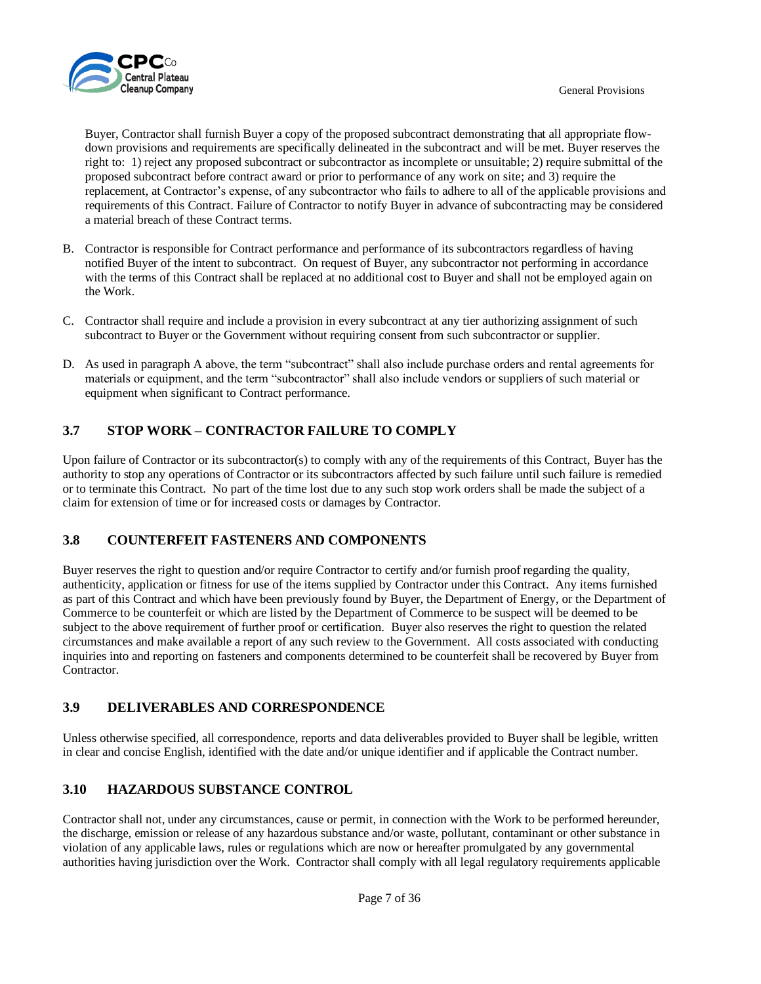

Buyer, Contractor shall furnish Buyer a copy of the proposed subcontract demonstrating that all appropriate flowdown provisions and requirements are specifically delineated in the subcontract and will be met. Buyer reserves the right to: 1) reject any proposed subcontract or subcontractor as incomplete or unsuitable; 2) require submittal of the proposed subcontract before contract award or prior to performance of any work on site; and 3) require the replacement, at Contractor's expense, of any subcontractor who fails to adhere to all of the applicable provisions and requirements of this Contract. Failure of Contractor to notify Buyer in advance of subcontracting may be considered a material breach of these Contract terms.

- B. Contractor is responsible for Contract performance and performance of its subcontractors regardless of having notified Buyer of the intent to subcontract. On request of Buyer, any subcontractor not performing in accordance with the terms of this Contract shall be replaced at no additional cost to Buyer and shall not be employed again on the Work.
- C. Contractor shall require and include a provision in every subcontract at any tier authorizing assignment of such subcontract to Buyer or the Government without requiring consent from such subcontractor or supplier.
- D. As used in paragraph A above, the term "subcontract" shall also include purchase orders and rental agreements for materials or equipment, and the term "subcontractor" shall also include vendors or suppliers of such material or equipment when significant to Contract performance.

# <span id="page-6-0"></span>**3.7 STOP WORK – CONTRACTOR FAILURE TO COMPLY**

Upon failure of Contractor or its subcontractor(s) to comply with any of the requirements of this Contract, Buyer has the authority to stop any operations of Contractor or its subcontractors affected by such failure until such failure is remedied or to terminate this Contract. No part of the time lost due to any such stop work orders shall be made the subject of a claim for extension of time or for increased costs or damages by Contractor.

## <span id="page-6-1"></span>**3.8 COUNTERFEIT FASTENERS AND COMPONENTS**

Buyer reserves the right to question and/or require Contractor to certify and/or furnish proof regarding the quality, authenticity, application or fitness for use of the items supplied by Contractor under this Contract. Any items furnished as part of this Contract and which have been previously found by Buyer, the Department of Energy, or the Department of Commerce to be counterfeit or which are listed by the Department of Commerce to be suspect will be deemed to be subject to the above requirement of further proof or certification. Buyer also reserves the right to question the related circumstances and make available a report of any such review to the Government. All costs associated with conducting inquiries into and reporting on fasteners and components determined to be counterfeit shall be recovered by Buyer from Contractor.

## <span id="page-6-2"></span>**3.9 DELIVERABLES AND CORRESPONDENCE**

Unless otherwise specified, all correspondence, reports and data deliverables provided to Buyer shall be legible, written in clear and concise English, identified with the date and/or unique identifier and if applicable the Contract number.

## <span id="page-6-3"></span>**3.10 HAZARDOUS SUBSTANCE CONTROL**

Contractor shall not, under any circumstances, cause or permit, in connection with the Work to be performed hereunder, the discharge, emission or release of any hazardous substance and/or waste, pollutant, contaminant or other substance in violation of any applicable laws, rules or regulations which are now or hereafter promulgated by any governmental authorities having jurisdiction over the Work. Contractor shall comply with all legal regulatory requirements applicable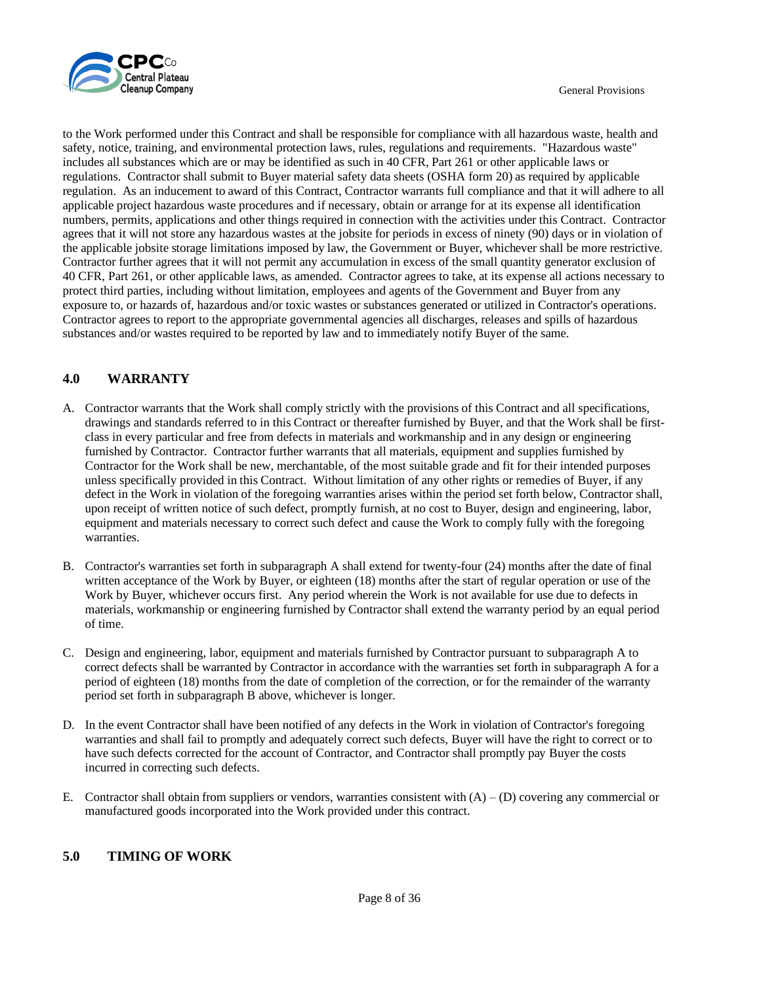

to the Work performed under this Contract and shall be responsible for compliance with all hazardous waste, health and safety, notice, training, and environmental protection laws, rules, regulations and requirements. "Hazardous waste" includes all substances which are or may be identified as such in 40 CFR, Part 261 or other applicable laws or regulations. Contractor shall submit to Buyer material safety data sheets (OSHA form 20) as required by applicable regulation. As an inducement to award of this Contract, Contractor warrants full compliance and that it will adhere to all applicable project hazardous waste procedures and if necessary, obtain or arrange for at its expense all identification numbers, permits, applications and other things required in connection with the activities under this Contract. Contractor agrees that it will not store any hazardous wastes at the jobsite for periods in excess of ninety (90) days or in violation of the applicable jobsite storage limitations imposed by law, the Government or Buyer, whichever shall be more restrictive. Contractor further agrees that it will not permit any accumulation in excess of the small quantity generator exclusion of 40 CFR, Part 261, or other applicable laws, as amended. Contractor agrees to take, at its expense all actions necessary to protect third parties, including without limitation, employees and agents of the Government and Buyer from any exposure to, or hazards of, hazardous and/or toxic wastes or substances generated or utilized in Contractor's operations. Contractor agrees to report to the appropriate governmental agencies all discharges, releases and spills of hazardous substances and/or wastes required to be reported by law and to immediately notify Buyer of the same.

## <span id="page-7-0"></span>**4.0 WARRANTY**

- A. Contractor warrants that the Work shall comply strictly with the provisions of this Contract and all specifications, drawings and standards referred to in this Contract or thereafter furnished by Buyer, and that the Work shall be firstclass in every particular and free from defects in materials and workmanship and in any design or engineering furnished by Contractor. Contractor further warrants that all materials, equipment and supplies furnished by Contractor for the Work shall be new, merchantable, of the most suitable grade and fit for their intended purposes unless specifically provided in this Contract. Without limitation of any other rights or remedies of Buyer, if any defect in the Work in violation of the foregoing warranties arises within the period set forth below, Contractor shall, upon receipt of written notice of such defect, promptly furnish, at no cost to Buyer, design and engineering, labor, equipment and materials necessary to correct such defect and cause the Work to comply fully with the foregoing warranties.
- B. Contractor's warranties set forth in subparagraph A shall extend for twenty-four (24) months after the date of final written acceptance of the Work by Buyer, or eighteen (18) months after the start of regular operation or use of the Work by Buyer, whichever occurs first. Any period wherein the Work is not available for use due to defects in materials, workmanship or engineering furnished by Contractor shall extend the warranty period by an equal period of time.
- C. Design and engineering, labor, equipment and materials furnished by Contractor pursuant to subparagraph A to correct defects shall be warranted by Contractor in accordance with the warranties set forth in subparagraph A for a period of eighteen (18) months from the date of completion of the correction, or for the remainder of the warranty period set forth in subparagraph B above, whichever is longer.
- D. In the event Contractor shall have been notified of any defects in the Work in violation of Contractor's foregoing warranties and shall fail to promptly and adequately correct such defects, Buyer will have the right to correct or to have such defects corrected for the account of Contractor, and Contractor shall promptly pay Buyer the costs incurred in correcting such defects.
- E. Contractor shall obtain from suppliers or vendors, warranties consistent with  $(A) (D)$  covering any commercial or manufactured goods incorporated into the Work provided under this contract.

#### <span id="page-7-1"></span>**5.0 TIMING OF WORK**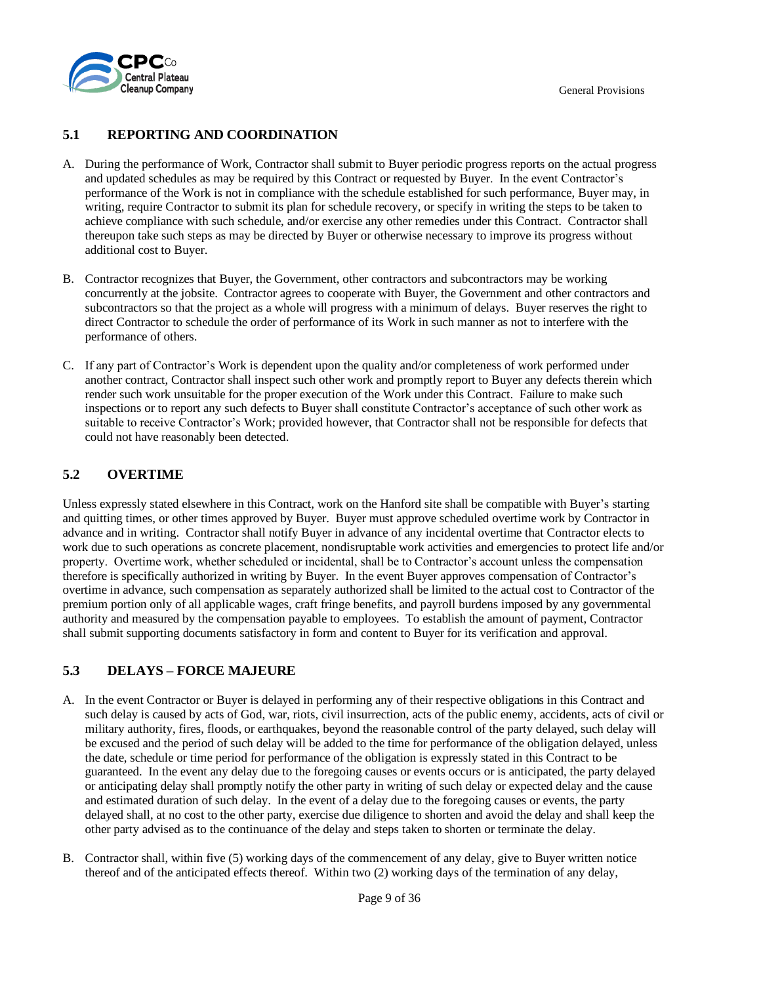

#### <span id="page-8-0"></span>**5.1 REPORTING AND COORDINATION**

- A. During the performance of Work, Contractor shall submit to Buyer periodic progress reports on the actual progress and updated schedules as may be required by this Contract or requested by Buyer. In the event Contractor's performance of the Work is not in compliance with the schedule established for such performance, Buyer may, in writing, require Contractor to submit its plan for schedule recovery, or specify in writing the steps to be taken to achieve compliance with such schedule, and/or exercise any other remedies under this Contract. Contractor shall thereupon take such steps as may be directed by Buyer or otherwise necessary to improve its progress without additional cost to Buyer.
- B. Contractor recognizes that Buyer, the Government, other contractors and subcontractors may be working concurrently at the jobsite. Contractor agrees to cooperate with Buyer, the Government and other contractors and subcontractors so that the project as a whole will progress with a minimum of delays. Buyer reserves the right to direct Contractor to schedule the order of performance of its Work in such manner as not to interfere with the performance of others.
- C. If any part of Contractor's Work is dependent upon the quality and/or completeness of work performed under another contract, Contractor shall inspect such other work and promptly report to Buyer any defects therein which render such work unsuitable for the proper execution of the Work under this Contract. Failure to make such inspections or to report any such defects to Buyer shall constitute Contractor's acceptance of such other work as suitable to receive Contractor's Work; provided however, that Contractor shall not be responsible for defects that could not have reasonably been detected.

## <span id="page-8-1"></span>**5.2 OVERTIME**

Unless expressly stated elsewhere in this Contract, work on the Hanford site shall be compatible with Buyer's starting and quitting times, or other times approved by Buyer. Buyer must approve scheduled overtime work by Contractor in advance and in writing. Contractor shall notify Buyer in advance of any incidental overtime that Contractor elects to work due to such operations as concrete placement, nondisruptable work activities and emergencies to protect life and/or property. Overtime work, whether scheduled or incidental, shall be to Contractor's account unless the compensation therefore is specifically authorized in writing by Buyer. In the event Buyer approves compensation of Contractor's overtime in advance, such compensation as separately authorized shall be limited to the actual cost to Contractor of the premium portion only of all applicable wages, craft fringe benefits, and payroll burdens imposed by any governmental authority and measured by the compensation payable to employees. To establish the amount of payment, Contractor shall submit supporting documents satisfactory in form and content to Buyer for its verification and approval.

## <span id="page-8-2"></span>**5.3 DELAYS – FORCE MAJEURE**

- A. In the event Contractor or Buyer is delayed in performing any of their respective obligations in this Contract and such delay is caused by acts of God, war, riots, civil insurrection, acts of the public enemy, accidents, acts of civil or military authority, fires, floods, or earthquakes, beyond the reasonable control of the party delayed, such delay will be excused and the period of such delay will be added to the time for performance of the obligation delayed, unless the date, schedule or time period for performance of the obligation is expressly stated in this Contract to be guaranteed. In the event any delay due to the foregoing causes or events occurs or is anticipated, the party delayed or anticipating delay shall promptly notify the other party in writing of such delay or expected delay and the cause and estimated duration of such delay. In the event of a delay due to the foregoing causes or events, the party delayed shall, at no cost to the other party, exercise due diligence to shorten and avoid the delay and shall keep the other party advised as to the continuance of the delay and steps taken to shorten or terminate the delay.
- B. Contractor shall, within five (5) working days of the commencement of any delay, give to Buyer written notice thereof and of the anticipated effects thereof. Within two (2) working days of the termination of any delay,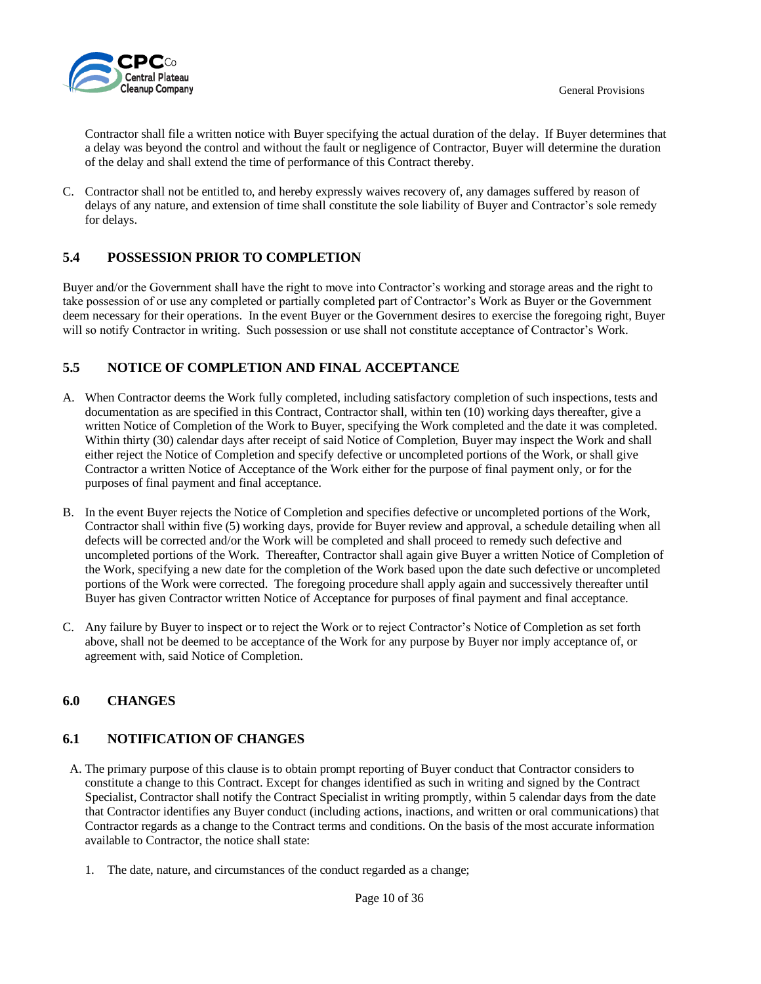

Contractor shall file a written notice with Buyer specifying the actual duration of the delay. If Buyer determines that a delay was beyond the control and without the fault or negligence of Contractor, Buyer will determine the duration of the delay and shall extend the time of performance of this Contract thereby.

C. Contractor shall not be entitled to, and hereby expressly waives recovery of, any damages suffered by reason of delays of any nature, and extension of time shall constitute the sole liability of Buyer and Contractor's sole remedy for delays.

## <span id="page-9-0"></span>**5.4 POSSESSION PRIOR TO COMPLETION**

Buyer and/or the Government shall have the right to move into Contractor's working and storage areas and the right to take possession of or use any completed or partially completed part of Contractor's Work as Buyer or the Government deem necessary for their operations. In the event Buyer or the Government desires to exercise the foregoing right, Buyer will so notify Contractor in writing. Such possession or use shall not constitute acceptance of Contractor's Work.

## <span id="page-9-1"></span>**5.5 NOTICE OF COMPLETION AND FINAL ACCEPTANCE**

- A. When Contractor deems the Work fully completed, including satisfactory completion of such inspections, tests and documentation as are specified in this Contract, Contractor shall, within ten (10) working days thereafter, give a written Notice of Completion of the Work to Buyer, specifying the Work completed and the date it was completed. Within thirty (30) calendar days after receipt of said Notice of Completion, Buyer may inspect the Work and shall either reject the Notice of Completion and specify defective or uncompleted portions of the Work, or shall give Contractor a written Notice of Acceptance of the Work either for the purpose of final payment only, or for the purposes of final payment and final acceptance.
- B. In the event Buyer rejects the Notice of Completion and specifies defective or uncompleted portions of the Work, Contractor shall within five (5) working days, provide for Buyer review and approval, a schedule detailing when all defects will be corrected and/or the Work will be completed and shall proceed to remedy such defective and uncompleted portions of the Work. Thereafter, Contractor shall again give Buyer a written Notice of Completion of the Work, specifying a new date for the completion of the Work based upon the date such defective or uncompleted portions of the Work were corrected. The foregoing procedure shall apply again and successively thereafter until Buyer has given Contractor written Notice of Acceptance for purposes of final payment and final acceptance.
- C. Any failure by Buyer to inspect or to reject the Work or to reject Contractor's Notice of Completion as set forth above, shall not be deemed to be acceptance of the Work for any purpose by Buyer nor imply acceptance of, or agreement with, said Notice of Completion.

#### <span id="page-9-2"></span>**6.0 CHANGES**

#### <span id="page-9-3"></span>**6.1 NOTIFICATION OF CHANGES**

- A. The primary purpose of this clause is to obtain prompt reporting of Buyer conduct that Contractor considers to constitute a change to this Contract. Except for changes identified as such in writing and signed by the Contract Specialist, Contractor shall notify the Contract Specialist in writing promptly, within 5 calendar days from the date that Contractor identifies any Buyer conduct (including actions, inactions, and written or oral communications) that Contractor regards as a change to the Contract terms and conditions. On the basis of the most accurate information available to Contractor, the notice shall state:
	- 1. The date, nature, and circumstances of the conduct regarded as a change;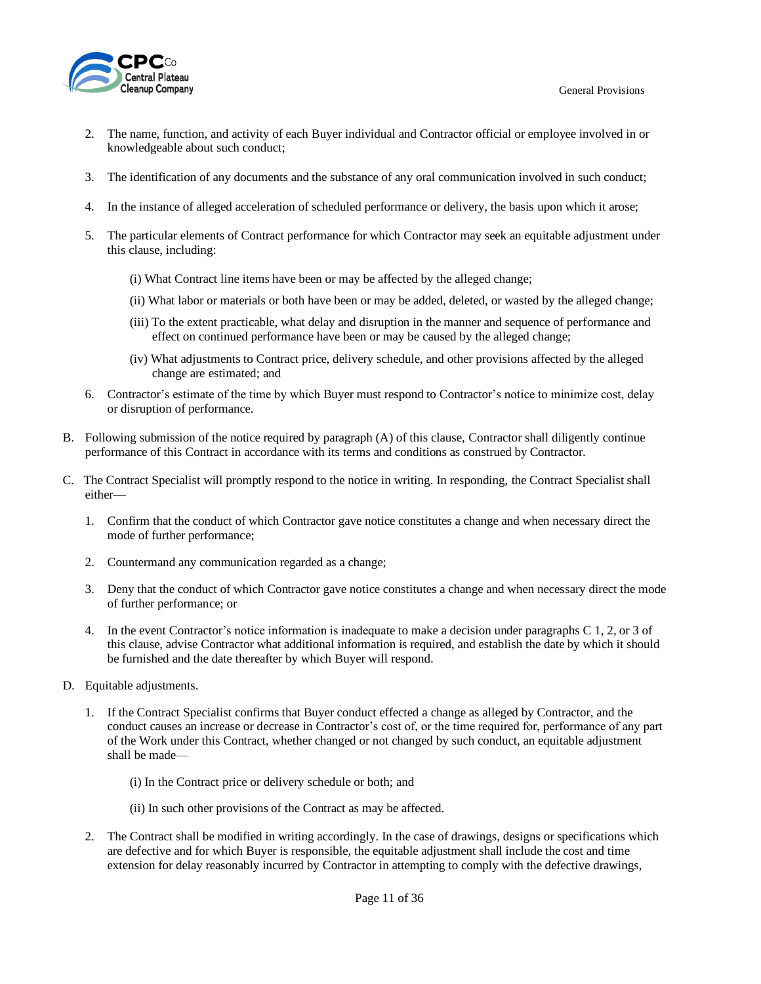

- 2. The name, function, and activity of each Buyer individual and Contractor official or employee involved in or knowledgeable about such conduct;
- 3. The identification of any documents and the substance of any oral communication involved in such conduct;
- 4. In the instance of alleged acceleration of scheduled performance or delivery, the basis upon which it arose;
- 5. The particular elements of Contract performance for which Contractor may seek an equitable adjustment under this clause, including:
	- (i) What Contract line items have been or may be affected by the alleged change;
	- (ii) What labor or materials or both have been or may be added, deleted, or wasted by the alleged change;
	- (iii) To the extent practicable, what delay and disruption in the manner and sequence of performance and effect on continued performance have been or may be caused by the alleged change;
	- (iv) What adjustments to Contract price, delivery schedule, and other provisions affected by the alleged change are estimated; and
- 6. Contractor's estimate of the time by which Buyer must respond to Contractor's notice to minimize cost, delay or disruption of performance.
- B. Following submission of the notice required by paragraph (A) of this clause, Contractor shall diligently continue performance of this Contract in accordance with its terms and conditions as construed by Contractor.
- C. The Contract Specialist will promptly respond to the notice in writing. In responding, the Contract Specialist shall either—
	- 1. Confirm that the conduct of which Contractor gave notice constitutes a change and when necessary direct the mode of further performance;
	- 2. Countermand any communication regarded as a change;
	- 3. Deny that the conduct of which Contractor gave notice constitutes a change and when necessary direct the mode of further performance; or
	- 4. In the event Contractor's notice information is inadequate to make a decision under paragraphs C 1, 2, or 3 of this clause, advise Contractor what additional information is required, and establish the date by which it should be furnished and the date thereafter by which Buyer will respond.
- D. Equitable adjustments.
	- 1. If the Contract Specialist confirms that Buyer conduct effected a change as alleged by Contractor, and the conduct causes an increase or decrease in Contractor's cost of, or the time required for, performance of any part of the Work under this Contract, whether changed or not changed by such conduct, an equitable adjustment shall be made—
		- (i) In the Contract price or delivery schedule or both; and
		- (ii) In such other provisions of the Contract as may be affected.
	- 2. The Contract shall be modified in writing accordingly. In the case of drawings, designs or specifications which are defective and for which Buyer is responsible, the equitable adjustment shall include the cost and time extension for delay reasonably incurred by Contractor in attempting to comply with the defective drawings,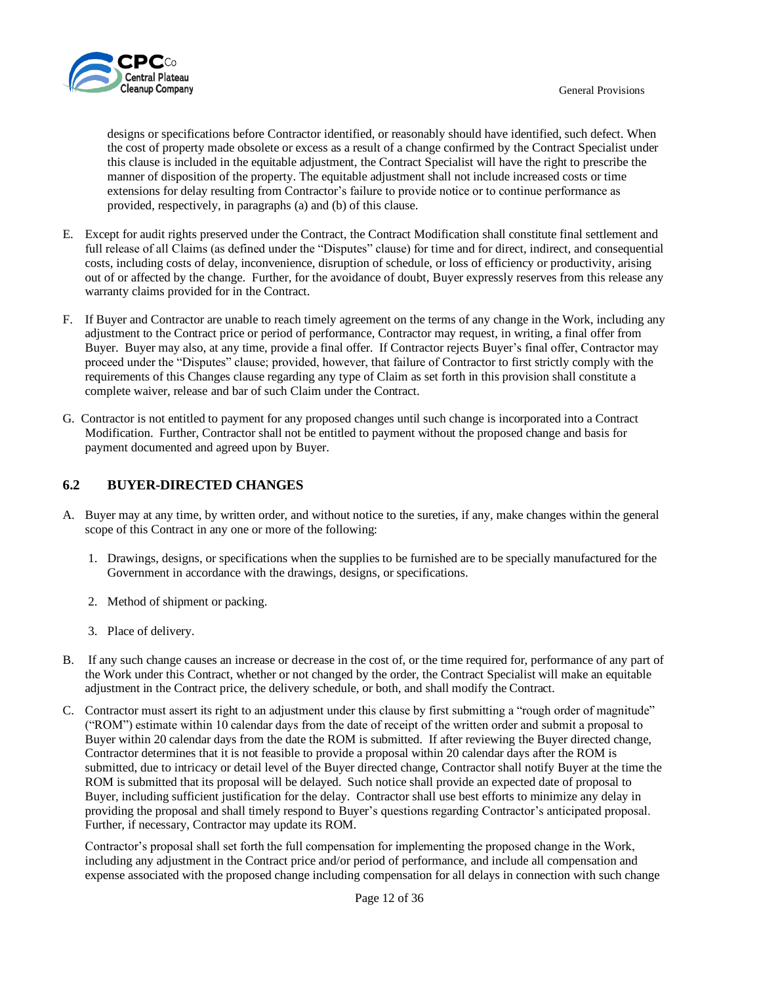

designs or specifications before Contractor identified, or reasonably should have identified, such defect. When the cost of property made obsolete or excess as a result of a change confirmed by the Contract Specialist under this clause is included in the equitable adjustment, the Contract Specialist will have the right to prescribe the manner of disposition of the property. The equitable adjustment shall not include increased costs or time extensions for delay resulting from Contractor's failure to provide notice or to continue performance as provided, respectively, in paragraphs (a) and (b) of this clause.

- E. Except for audit rights preserved under the Contract, the Contract Modification shall constitute final settlement and full release of all Claims (as defined under the "Disputes" clause) for time and for direct, indirect, and consequential costs, including costs of delay, inconvenience, disruption of schedule, or loss of efficiency or productivity, arising out of or affected by the change. Further, for the avoidance of doubt, Buyer expressly reserves from this release any warranty claims provided for in the Contract.
- F. If Buyer and Contractor are unable to reach timely agreement on the terms of any change in the Work, including any adjustment to the Contract price or period of performance, Contractor may request, in writing, a final offer from Buyer. Buyer may also, at any time, provide a final offer. If Contractor rejects Buyer's final offer, Contractor may proceed under the "Disputes" clause; provided, however, that failure of Contractor to first strictly comply with the requirements of this Changes clause regarding any type of Claim as set forth in this provision shall constitute a complete waiver, release and bar of such Claim under the Contract.
- G. Contractor is not entitled to payment for any proposed changes until such change is incorporated into a Contract Modification. Further, Contractor shall not be entitled to payment without the proposed change and basis for payment documented and agreed upon by Buyer.

## <span id="page-11-0"></span>**6.2 BUYER-DIRECTED CHANGES**

- A. Buyer may at any time, by written order, and without notice to the sureties, if any, make changes within the general scope of this Contract in any one or more of the following:
	- 1. Drawings, designs, or specifications when the supplies to be furnished are to be specially manufactured for the Government in accordance with the drawings, designs, or specifications.
	- 2. Method of shipment or packing.
	- 3. Place of delivery.
- B. If any such change causes an increase or decrease in the cost of, or the time required for, performance of any part of the Work under this Contract, whether or not changed by the order, the Contract Specialist will make an equitable adjustment in the Contract price, the delivery schedule, or both, and shall modify the Contract.
- C. Contractor must assert its right to an adjustment under this clause by first submitting a "rough order of magnitude" ("ROM") estimate within 10 calendar days from the date of receipt of the written order and submit a proposal to Buyer within 20 calendar days from the date the ROM is submitted. If after reviewing the Buyer directed change, Contractor determines that it is not feasible to provide a proposal within 20 calendar days after the ROM is submitted, due to intricacy or detail level of the Buyer directed change, Contractor shall notify Buyer at the time the ROM is submitted that its proposal will be delayed. Such notice shall provide an expected date of proposal to Buyer, including sufficient justification for the delay. Contractor shall use best efforts to minimize any delay in providing the proposal and shall timely respond to Buyer's questions regarding Contractor's anticipated proposal. Further, if necessary, Contractor may update its ROM.

Contractor's proposal shall set forth the full compensation for implementing the proposed change in the Work, including any adjustment in the Contract price and/or period of performance, and include all compensation and expense associated with the proposed change including compensation for all delays in connection with such change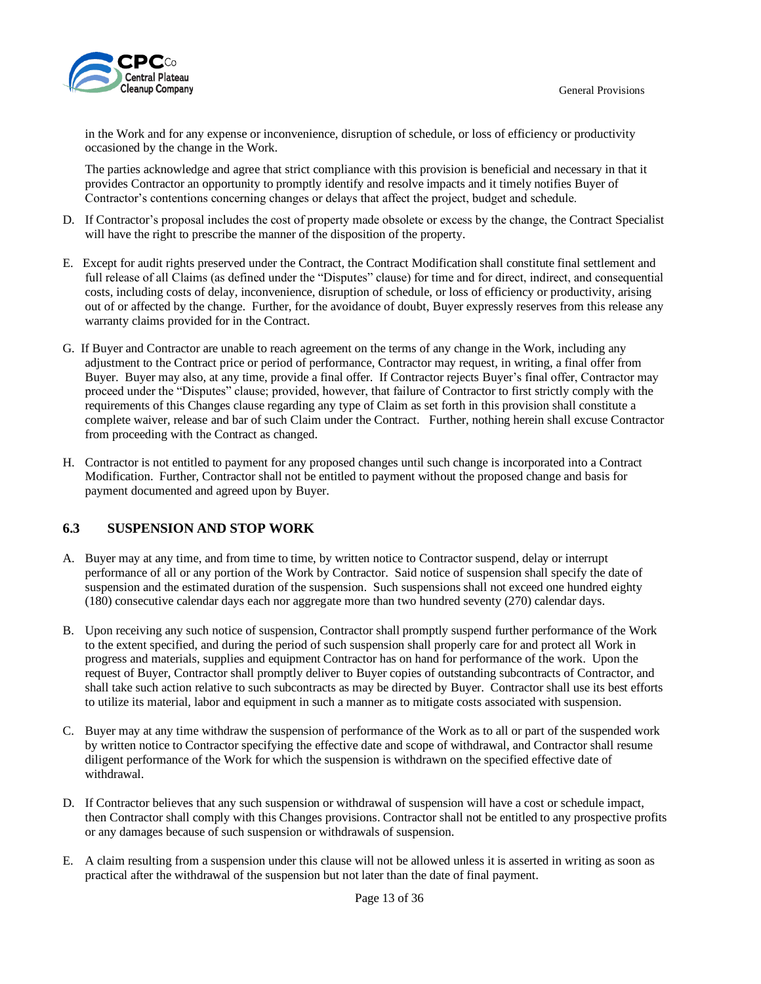

in the Work and for any expense or inconvenience, disruption of schedule, or loss of efficiency or productivity occasioned by the change in the Work.

The parties acknowledge and agree that strict compliance with this provision is beneficial and necessary in that it provides Contractor an opportunity to promptly identify and resolve impacts and it timely notifies Buyer of Contractor's contentions concerning changes or delays that affect the project, budget and schedule.

- D. If Contractor's proposal includes the cost of property made obsolete or excess by the change, the Contract Specialist will have the right to prescribe the manner of the disposition of the property.
- E. Except for audit rights preserved under the Contract, the Contract Modification shall constitute final settlement and full release of all Claims (as defined under the "Disputes" clause) for time and for direct, indirect, and consequential costs, including costs of delay, inconvenience, disruption of schedule, or loss of efficiency or productivity, arising out of or affected by the change. Further, for the avoidance of doubt, Buyer expressly reserves from this release any warranty claims provided for in the Contract.
- G. If Buyer and Contractor are unable to reach agreement on the terms of any change in the Work, including any adjustment to the Contract price or period of performance, Contractor may request, in writing, a final offer from Buyer. Buyer may also, at any time, provide a final offer. If Contractor rejects Buyer's final offer, Contractor may proceed under the "Disputes" clause; provided, however, that failure of Contractor to first strictly comply with the requirements of this Changes clause regarding any type of Claim as set forth in this provision shall constitute a complete waiver, release and bar of such Claim under the Contract. Further, nothing herein shall excuse Contractor from proceeding with the Contract as changed.
- H. Contractor is not entitled to payment for any proposed changes until such change is incorporated into a Contract Modification. Further, Contractor shall not be entitled to payment without the proposed change and basis for payment documented and agreed upon by Buyer.

#### <span id="page-12-0"></span>**6.3 SUSPENSION AND STOP WORK**

- A. Buyer may at any time, and from time to time, by written notice to Contractor suspend, delay or interrupt performance of all or any portion of the Work by Contractor. Said notice of suspension shall specify the date of suspension and the estimated duration of the suspension. Such suspensions shall not exceed one hundred eighty (180) consecutive calendar days each nor aggregate more than two hundred seventy (270) calendar days.
- B. Upon receiving any such notice of suspension, Contractor shall promptly suspend further performance of the Work to the extent specified, and during the period of such suspension shall properly care for and protect all Work in progress and materials, supplies and equipment Contractor has on hand for performance of the work. Upon the request of Buyer, Contractor shall promptly deliver to Buyer copies of outstanding subcontracts of Contractor, and shall take such action relative to such subcontracts as may be directed by Buyer. Contractor shall use its best efforts to utilize its material, labor and equipment in such a manner as to mitigate costs associated with suspension.
- C. Buyer may at any time withdraw the suspension of performance of the Work as to all or part of the suspended work by written notice to Contractor specifying the effective date and scope of withdrawal, and Contractor shall resume diligent performance of the Work for which the suspension is withdrawn on the specified effective date of withdrawal.
- D. If Contractor believes that any such suspension or withdrawal of suspension will have a cost or schedule impact, then Contractor shall comply with this Changes provisions. Contractor shall not be entitled to any prospective profits or any damages because of such suspension or withdrawals of suspension.
- E. A claim resulting from a suspension under this clause will not be allowed unless it is asserted in writing as soon as practical after the withdrawal of the suspension but not later than the date of final payment.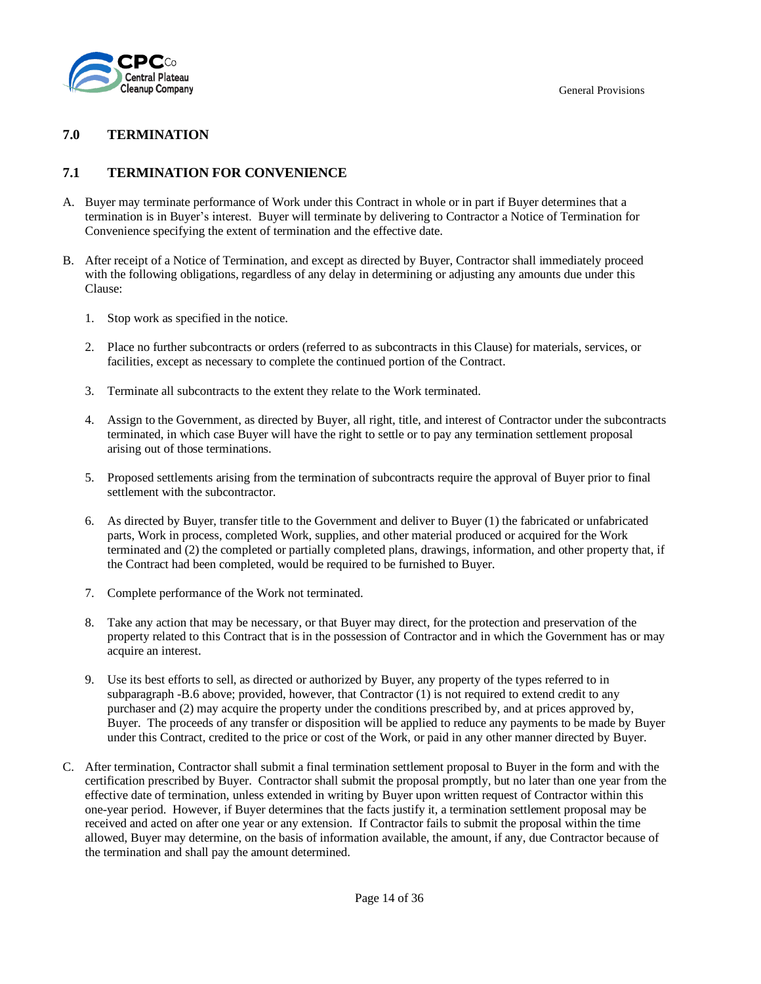

#### <span id="page-13-0"></span>**7.0 TERMINATION**

#### <span id="page-13-1"></span>**7.1 TERMINATION FOR CONVENIENCE**

- A. Buyer may terminate performance of Work under this Contract in whole or in part if Buyer determines that a termination is in Buyer's interest. Buyer will terminate by delivering to Contractor a Notice of Termination for Convenience specifying the extent of termination and the effective date.
- B. After receipt of a Notice of Termination, and except as directed by Buyer, Contractor shall immediately proceed with the following obligations, regardless of any delay in determining or adjusting any amounts due under this Clause:
	- 1. Stop work as specified in the notice.
	- 2. Place no further subcontracts or orders (referred to as subcontracts in this Clause) for materials, services, or facilities, except as necessary to complete the continued portion of the Contract.
	- 3. Terminate all subcontracts to the extent they relate to the Work terminated.
	- 4. Assign to the Government, as directed by Buyer, all right, title, and interest of Contractor under the subcontracts terminated, in which case Buyer will have the right to settle or to pay any termination settlement proposal arising out of those terminations.
	- 5. Proposed settlements arising from the termination of subcontracts require the approval of Buyer prior to final settlement with the subcontractor.
	- 6. As directed by Buyer, transfer title to the Government and deliver to Buyer (1) the fabricated or unfabricated parts, Work in process, completed Work, supplies, and other material produced or acquired for the Work terminated and (2) the completed or partially completed plans, drawings, information, and other property that, if the Contract had been completed, would be required to be furnished to Buyer.
	- 7. Complete performance of the Work not terminated.
	- 8. Take any action that may be necessary, or that Buyer may direct, for the protection and preservation of the property related to this Contract that is in the possession of Contractor and in which the Government has or may acquire an interest.
	- 9. Use its best efforts to sell, as directed or authorized by Buyer, any property of the types referred to in subparagraph -B.6 above; provided, however, that Contractor (1) is not required to extend credit to any purchaser and (2) may acquire the property under the conditions prescribed by, and at prices approved by, Buyer. The proceeds of any transfer or disposition will be applied to reduce any payments to be made by Buyer under this Contract, credited to the price or cost of the Work, or paid in any other manner directed by Buyer.
- C. After termination, Contractor shall submit a final termination settlement proposal to Buyer in the form and with the certification prescribed by Buyer. Contractor shall submit the proposal promptly, but no later than one year from the effective date of termination, unless extended in writing by Buyer upon written request of Contractor within this one-year period. However, if Buyer determines that the facts justify it, a termination settlement proposal may be received and acted on after one year or any extension. If Contractor fails to submit the proposal within the time allowed, Buyer may determine, on the basis of information available, the amount, if any, due Contractor because of the termination and shall pay the amount determined.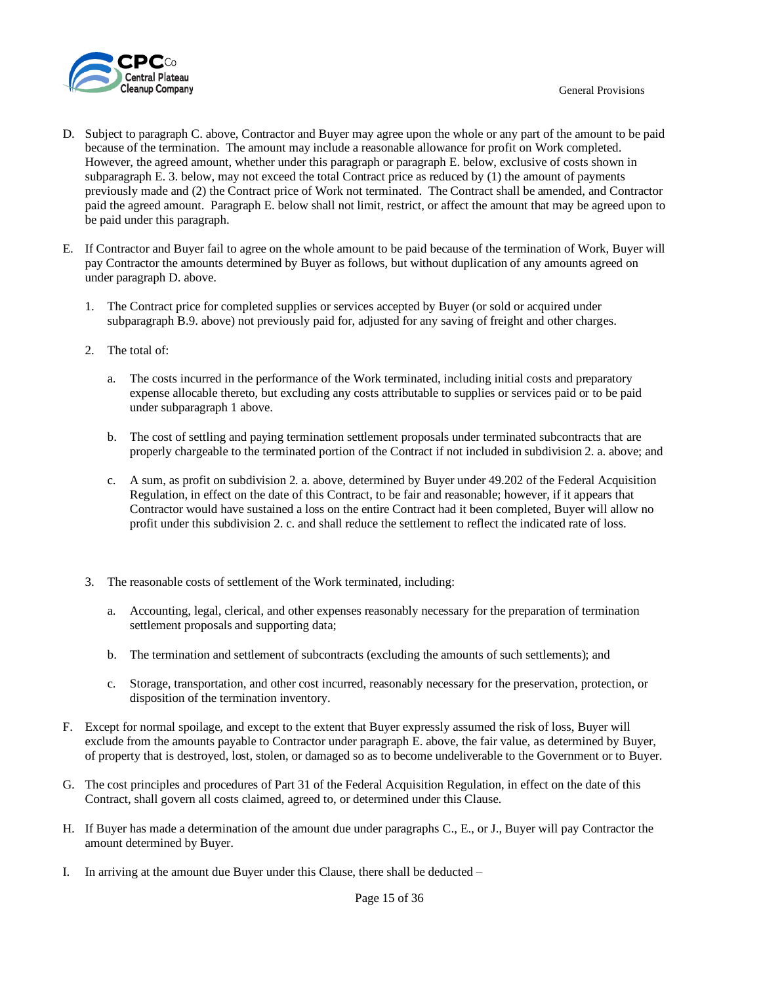

- D. Subject to paragraph C. above, Contractor and Buyer may agree upon the whole or any part of the amount to be paid because of the termination. The amount may include a reasonable allowance for profit on Work completed. However, the agreed amount, whether under this paragraph or paragraph E. below, exclusive of costs shown in subparagraph E. 3. below, may not exceed the total Contract price as reduced by (1) the amount of payments previously made and (2) the Contract price of Work not terminated. The Contract shall be amended, and Contractor paid the agreed amount. Paragraph E. below shall not limit, restrict, or affect the amount that may be agreed upon to be paid under this paragraph.
- E. If Contractor and Buyer fail to agree on the whole amount to be paid because of the termination of Work, Buyer will pay Contractor the amounts determined by Buyer as follows, but without duplication of any amounts agreed on under paragraph D. above.
	- 1. The Contract price for completed supplies or services accepted by Buyer (or sold or acquired under subparagraph B.9. above) not previously paid for, adjusted for any saving of freight and other charges.
	- 2. The total of:
		- a. The costs incurred in the performance of the Work terminated, including initial costs and preparatory expense allocable thereto, but excluding any costs attributable to supplies or services paid or to be paid under subparagraph 1 above.
		- b. The cost of settling and paying termination settlement proposals under terminated subcontracts that are properly chargeable to the terminated portion of the Contract if not included in subdivision 2. a. above; and
		- c. A sum, as profit on subdivision 2. a. above, determined by Buyer under 49.202 of the Federal Acquisition Regulation, in effect on the date of this Contract, to be fair and reasonable; however, if it appears that Contractor would have sustained a loss on the entire Contract had it been completed, Buyer will allow no profit under this subdivision 2. c. and shall reduce the settlement to reflect the indicated rate of loss.
	- 3. The reasonable costs of settlement of the Work terminated, including:
		- a. Accounting, legal, clerical, and other expenses reasonably necessary for the preparation of termination settlement proposals and supporting data;
		- b. The termination and settlement of subcontracts (excluding the amounts of such settlements); and
		- c. Storage, transportation, and other cost incurred, reasonably necessary for the preservation, protection, or disposition of the termination inventory.
- F. Except for normal spoilage, and except to the extent that Buyer expressly assumed the risk of loss, Buyer will exclude from the amounts payable to Contractor under paragraph E. above, the fair value, as determined by Buyer, of property that is destroyed, lost, stolen, or damaged so as to become undeliverable to the Government or to Buyer.
- G. The cost principles and procedures of Part 31 of the Federal Acquisition Regulation, in effect on the date of this Contract, shall govern all costs claimed, agreed to, or determined under this Clause.
- H. If Buyer has made a determination of the amount due under paragraphs C., E., or J., Buyer will pay Contractor the amount determined by Buyer.
- I. In arriving at the amount due Buyer under this Clause, there shall be deducted –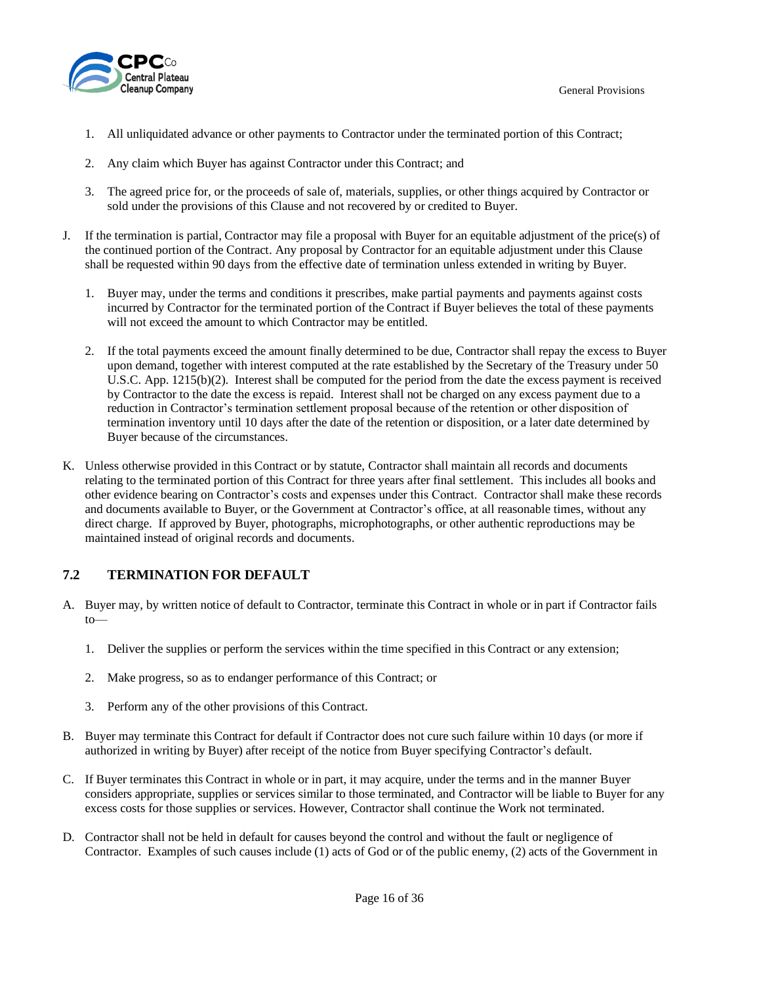General Provisions



- 1. All unliquidated advance or other payments to Contractor under the terminated portion of this Contract;
- 2. Any claim which Buyer has against Contractor under this Contract; and
- 3. The agreed price for, or the proceeds of sale of, materials, supplies, or other things acquired by Contractor or sold under the provisions of this Clause and not recovered by or credited to Buyer.
- J. If the termination is partial, Contractor may file a proposal with Buyer for an equitable adjustment of the price(s) of the continued portion of the Contract. Any proposal by Contractor for an equitable adjustment under this Clause shall be requested within 90 days from the effective date of termination unless extended in writing by Buyer.
	- 1. Buyer may, under the terms and conditions it prescribes, make partial payments and payments against costs incurred by Contractor for the terminated portion of the Contract if Buyer believes the total of these payments will not exceed the amount to which Contractor may be entitled.
	- 2. If the total payments exceed the amount finally determined to be due, Contractor shall repay the excess to Buyer upon demand, together with interest computed at the rate established by the Secretary of the Treasury under 50 U.S.C. App. 1215(b)(2). Interest shall be computed for the period from the date the excess payment is received by Contractor to the date the excess is repaid. Interest shall not be charged on any excess payment due to a reduction in Contractor's termination settlement proposal because of the retention or other disposition of termination inventory until 10 days after the date of the retention or disposition, or a later date determined by Buyer because of the circumstances.
- K. Unless otherwise provided in this Contract or by statute, Contractor shall maintain all records and documents relating to the terminated portion of this Contract for three years after final settlement. This includes all books and other evidence bearing on Contractor's costs and expenses under this Contract. Contractor shall make these records and documents available to Buyer, or the Government at Contractor's office, at all reasonable times, without any direct charge. If approved by Buyer, photographs, microphotographs, or other authentic reproductions may be maintained instead of original records and documents.

## <span id="page-15-0"></span>**7.2 TERMINATION FOR DEFAULT**

- A. Buyer may, by written notice of default to Contractor, terminate this Contract in whole or in part if Contractor fails to—
	- 1. Deliver the supplies or perform the services within the time specified in this Contract or any extension;
	- 2. Make progress, so as to endanger performance of this Contract; or
	- 3. Perform any of the other provisions of this Contract.
- B. Buyer may terminate this Contract for default if Contractor does not cure such failure within 10 days (or more if authorized in writing by Buyer) after receipt of the notice from Buyer specifying Contractor's default.
- C. If Buyer terminates this Contract in whole or in part, it may acquire, under the terms and in the manner Buyer considers appropriate, supplies or services similar to those terminated, and Contractor will be liable to Buyer for any excess costs for those supplies or services. However, Contractor shall continue the Work not terminated.
- D. Contractor shall not be held in default for causes beyond the control and without the fault or negligence of Contractor. Examples of such causes include (1) acts of God or of the public enemy, (2) acts of the Government in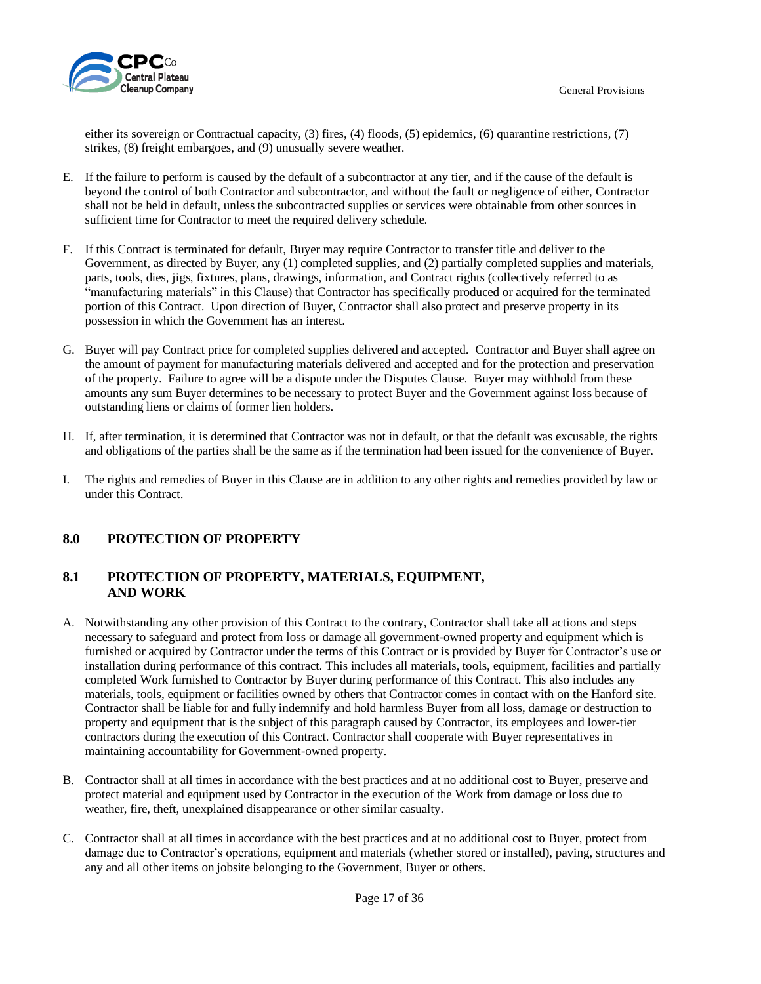

either its sovereign or Contractual capacity, (3) fires, (4) floods, (5) epidemics, (6) quarantine restrictions, (7) strikes, (8) freight embargoes, and (9) unusually severe weather.

- E. If the failure to perform is caused by the default of a subcontractor at any tier, and if the cause of the default is beyond the control of both Contractor and subcontractor, and without the fault or negligence of either, Contractor shall not be held in default, unless the subcontracted supplies or services were obtainable from other sources in sufficient time for Contractor to meet the required delivery schedule.
- F. If this Contract is terminated for default, Buyer may require Contractor to transfer title and deliver to the Government, as directed by Buyer, any (1) completed supplies, and (2) partially completed supplies and materials, parts, tools, dies, jigs, fixtures, plans, drawings, information, and Contract rights (collectively referred to as "manufacturing materials" in this Clause) that Contractor has specifically produced or acquired for the terminated portion of this Contract. Upon direction of Buyer, Contractor shall also protect and preserve property in its possession in which the Government has an interest.
- G. Buyer will pay Contract price for completed supplies delivered and accepted. Contractor and Buyer shall agree on the amount of payment for manufacturing materials delivered and accepted and for the protection and preservation of the property. Failure to agree will be a dispute under the Disputes Clause. Buyer may withhold from these amounts any sum Buyer determines to be necessary to protect Buyer and the Government against loss because of outstanding liens or claims of former lien holders.
- H. If, after termination, it is determined that Contractor was not in default, or that the default was excusable, the rights and obligations of the parties shall be the same as if the termination had been issued for the convenience of Buyer.
- I. The rights and remedies of Buyer in this Clause are in addition to any other rights and remedies provided by law or under this Contract.

#### <span id="page-16-0"></span>**8.0 PROTECTION OF PROPERTY**

#### <span id="page-16-1"></span>**8.1 PROTECTION OF PROPERTY, MATERIALS, EQUIPMENT, AND WORK**

- A. Notwithstanding any other provision of this Contract to the contrary, Contractor shall take all actions and steps necessary to safeguard and protect from loss or damage all government-owned property and equipment which is furnished or acquired by Contractor under the terms of this Contract or is provided by Buyer for Contractor's use or installation during performance of this contract. This includes all materials, tools, equipment, facilities and partially completed Work furnished to Contractor by Buyer during performance of this Contract. This also includes any materials, tools, equipment or facilities owned by others that Contractor comes in contact with on the Hanford site. Contractor shall be liable for and fully indemnify and hold harmless Buyer from all loss, damage or destruction to property and equipment that is the subject of this paragraph caused by Contractor, its employees and lower-tier contractors during the execution of this Contract. Contractor shall cooperate with Buyer representatives in maintaining accountability for Government-owned property.
- B. Contractor shall at all times in accordance with the best practices and at no additional cost to Buyer, preserve and protect material and equipment used by Contractor in the execution of the Work from damage or loss due to weather, fire, theft, unexplained disappearance or other similar casualty.
- C. Contractor shall at all times in accordance with the best practices and at no additional cost to Buyer, protect from damage due to Contractor's operations, equipment and materials (whether stored or installed), paving, structures and any and all other items on jobsite belonging to the Government, Buyer or others.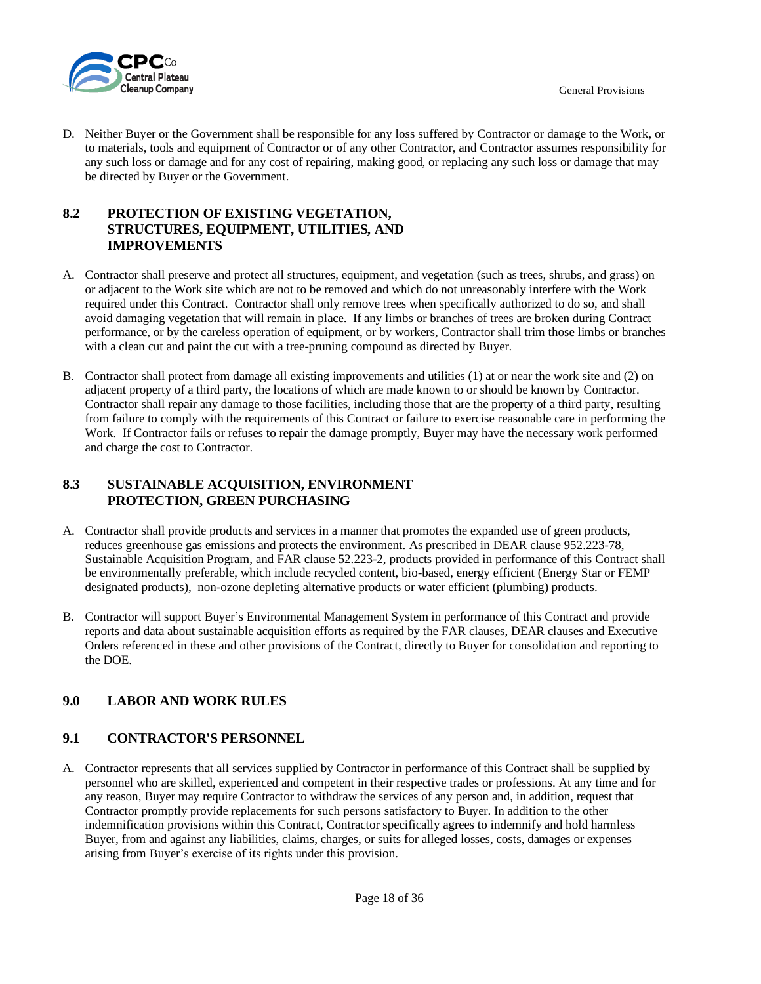General Provisions



D. Neither Buyer or the Government shall be responsible for any loss suffered by Contractor or damage to the Work, or to materials, tools and equipment of Contractor or of any other Contractor, and Contractor assumes responsibility for any such loss or damage and for any cost of repairing, making good, or replacing any such loss or damage that may be directed by Buyer or the Government.

#### <span id="page-17-0"></span>**8.2 PROTECTION OF EXISTING VEGETATION, STRUCTURES, EQUIPMENT, UTILITIES, AND IMPROVEMENTS**

- A. Contractor shall preserve and protect all structures, equipment, and vegetation (such as trees, shrubs, and grass) on or adjacent to the Work site which are not to be removed and which do not unreasonably interfere with the Work required under this Contract. Contractor shall only remove trees when specifically authorized to do so, and shall avoid damaging vegetation that will remain in place. If any limbs or branches of trees are broken during Contract performance, or by the careless operation of equipment, or by workers, Contractor shall trim those limbs or branches with a clean cut and paint the cut with a tree-pruning compound as directed by Buyer.
- B. Contractor shall protect from damage all existing improvements and utilities (1) at or near the work site and (2) on adjacent property of a third party, the locations of which are made known to or should be known by Contractor. Contractor shall repair any damage to those facilities, including those that are the property of a third party, resulting from failure to comply with the requirements of this Contract or failure to exercise reasonable care in performing the Work. If Contractor fails or refuses to repair the damage promptly, Buyer may have the necessary work performed and charge the cost to Contractor.

## <span id="page-17-1"></span>**8.3 SUSTAINABLE ACQUISITION, ENVIRONMENT PROTECTION, GREEN PURCHASING**

- A. Contractor shall provide products and services in a manner that promotes the expanded use of green products, reduces greenhouse gas emissions and protects the environment. As prescribed in DEAR clause 952.223-78, Sustainable Acquisition Program, and FAR clause 52.223-2, products provided in performance of this Contract shall be environmentally preferable, which include recycled content, bio-based, energy efficient (Energy Star or FEMP designated products), non-ozone depleting alternative products or water efficient (plumbing) products.
- B. Contractor will support Buyer's Environmental Management System in performance of this Contract and provide reports and data about sustainable acquisition efforts as required by the FAR clauses, DEAR clauses and Executive Orders referenced in these and other provisions of the Contract, directly to Buyer for consolidation and reporting to the DOE.

# <span id="page-17-2"></span>**9.0 LABOR AND WORK RULES**

# <span id="page-17-3"></span>**9.1 CONTRACTOR'S PERSONNEL**

A. Contractor represents that all services supplied by Contractor in performance of this Contract shall be supplied by personnel who are skilled, experienced and competent in their respective trades or professions. At any time and for any reason, Buyer may require Contractor to withdraw the services of any person and, in addition, request that Contractor promptly provide replacements for such persons satisfactory to Buyer. In addition to the other indemnification provisions within this Contract, Contractor specifically agrees to indemnify and hold harmless Buyer, from and against any liabilities, claims, charges, or suits for alleged losses, costs, damages or expenses arising from Buyer's exercise of its rights under this provision.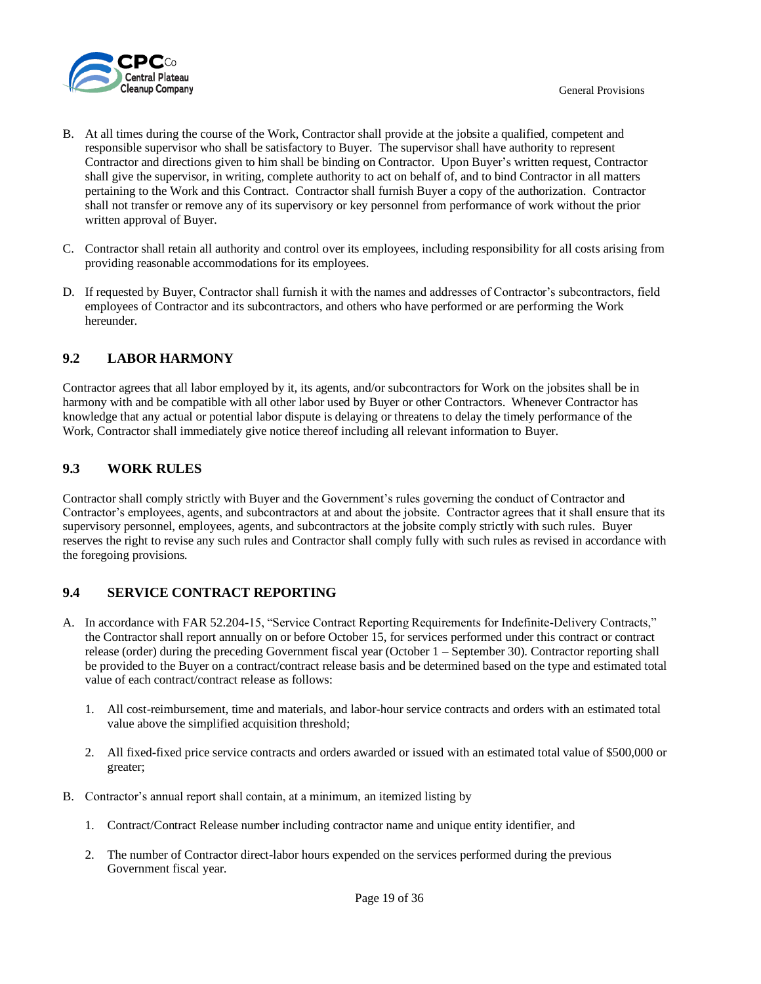

- B. At all times during the course of the Work, Contractor shall provide at the jobsite a qualified, competent and responsible supervisor who shall be satisfactory to Buyer. The supervisor shall have authority to represent Contractor and directions given to him shall be binding on Contractor. Upon Buyer's written request, Contractor shall give the supervisor, in writing, complete authority to act on behalf of, and to bind Contractor in all matters pertaining to the Work and this Contract. Contractor shall furnish Buyer a copy of the authorization. Contractor shall not transfer or remove any of its supervisory or key personnel from performance of work without the prior written approval of Buyer.
- C. Contractor shall retain all authority and control over its employees, including responsibility for all costs arising from providing reasonable accommodations for its employees.
- D. If requested by Buyer, Contractor shall furnish it with the names and addresses of Contractor's subcontractors, field employees of Contractor and its subcontractors, and others who have performed or are performing the Work hereunder.

## <span id="page-18-0"></span>**9.2 LABOR HARMONY**

Contractor agrees that all labor employed by it, its agents, and/or subcontractors for Work on the jobsites shall be in harmony with and be compatible with all other labor used by Buyer or other Contractors. Whenever Contractor has knowledge that any actual or potential labor dispute is delaying or threatens to delay the timely performance of the Work, Contractor shall immediately give notice thereof including all relevant information to Buyer.

#### <span id="page-18-1"></span>**9.3 WORK RULES**

Contractor shall comply strictly with Buyer and the Government's rules governing the conduct of Contractor and Contractor's employees, agents, and subcontractors at and about the jobsite. Contractor agrees that it shall ensure that its supervisory personnel, employees, agents, and subcontractors at the jobsite comply strictly with such rules. Buyer reserves the right to revise any such rules and Contractor shall comply fully with such rules as revised in accordance with the foregoing provisions.

#### <span id="page-18-2"></span>**9.4 SERVICE CONTRACT REPORTING**

- A. In accordance with FAR 52.204-15, "Service Contract Reporting Requirements for Indefinite-Delivery Contracts," the Contractor shall report annually on or before October 15, for services performed under this contract or contract release (order) during the preceding Government fiscal year (October 1 – September 30). Contractor reporting shall be provided to the Buyer on a contract/contract release basis and be determined based on the type and estimated total value of each contract/contract release as follows:
	- 1. All cost-reimbursement, time and materials, and labor-hour service contracts and orders with an estimated total value above the simplified acquisition threshold;
	- 2. All fixed-fixed price service contracts and orders awarded or issued with an estimated total value of \$500,000 or greater;
- B. Contractor's annual report shall contain, at a minimum, an itemized listing by
	- 1. Contract/Contract Release number including contractor name and unique entity identifier, and
	- 2. The number of Contractor direct-labor hours expended on the services performed during the previous Government fiscal year.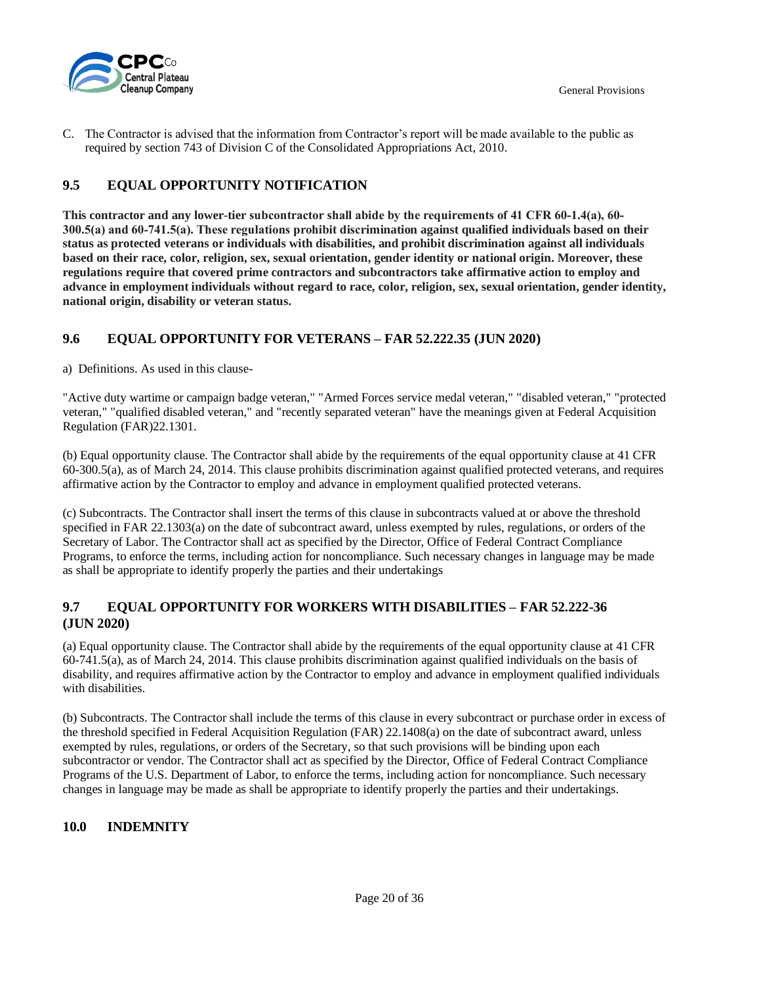

C. The Contractor is advised that the information from Contractor's report will be made available to the public as required by section 743 of Division C of the Consolidated Appropriations Act, 2010.

## <span id="page-19-0"></span>**9.5 EQUAL OPPORTUNITY NOTIFICATION**

**This contractor and any lower-tier subcontractor shall abide by the requirements of 41 CFR 60‐1.4(a), 60‐ 300.5(a) and 60‐741.5(a). These regulations prohibit discrimination against qualified individuals based on their status as protected veterans or individuals with disabilities, and prohibit discrimination against all individuals based on their race, color, religion, sex, sexual orientation, gender identity or national origin. Moreover, these regulations require that covered prime contractors and subcontractors take affirmative action to employ and advance in employment individuals without regard to race, color, religion, sex, sexual orientation, gender identity, national origin, disability or veteran status.**

## <span id="page-19-1"></span>**9.6 EQUAL OPPORTUNITY FOR VETERANS – FAR 52.222.35 (JUN 2020)**

a) Definitions. As used in this clause-

"Active duty wartime or campaign badge veteran," "Armed Forces service medal veteran," "disabled veteran," "protected veteran," "qualified disabled veteran," and "recently separated veteran" have the meanings given at Federal Acquisition Regulation (FAR)22.1301.

(b) Equal opportunity clause. The Contractor shall abide by the requirements of the equal opportunity clause at 41 CFR 60-300.5(a), as of March 24, 2014. This clause prohibits discrimination against qualified protected veterans, and requires affirmative action by the Contractor to employ and advance in employment qualified protected veterans.

(c) Subcontracts. The Contractor shall insert the terms of this clause in subcontracts valued at or above the threshold specified in FAR 22.1303(a) on the date of subcontract award, unless exempted by rules, regulations, or orders of the Secretary of Labor. The Contractor shall act as specified by the Director, Office of Federal Contract Compliance Programs, to enforce the terms, including action for noncompliance. Such necessary changes in language may be made as shall be appropriate to identify properly the parties and their undertakings

## <span id="page-19-2"></span>**9.7 EQUAL OPPORTUNITY FOR WORKERS WITH DISABILITIES – FAR 52.222-36 (JUN 2020)**

(a) Equal opportunity clause. The Contractor shall abide by the requirements of the equal opportunity clause at 41 CFR 60-741.5(a), as of March 24, 2014. This clause prohibits discrimination against qualified individuals on the basis of disability, and requires affirmative action by the Contractor to employ and advance in employment qualified individuals with disabilities.

(b) Subcontracts. The Contractor shall include the terms of this clause in every subcontract or purchase order in excess of the threshold specified in Federal Acquisition Regulation (FAR) 22.1408(a) on the date of subcontract award, unless exempted by rules, regulations, or orders of the Secretary, so that such provisions will be binding upon each subcontractor or vendor. The Contractor shall act as specified by the Director, Office of Federal Contract Compliance Programs of the U.S. Department of Labor, to enforce the terms, including action for noncompliance. Such necessary changes in language may be made as shall be appropriate to identify properly the parties and their undertakings.

## <span id="page-19-3"></span>**10.0 INDEMNITY**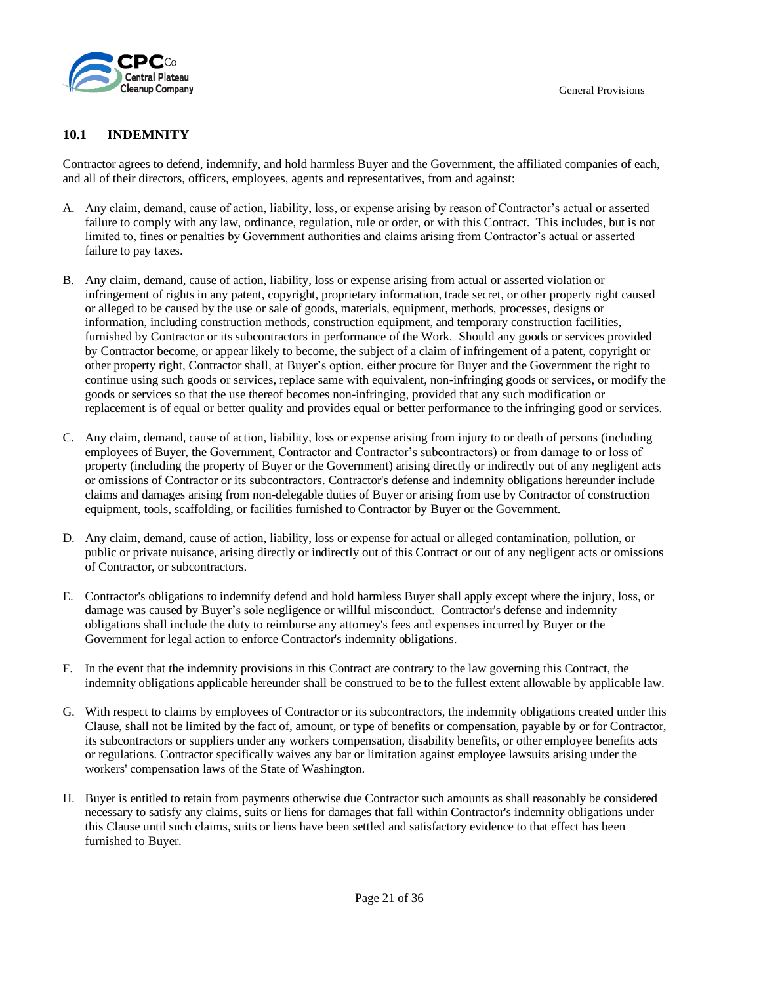

### <span id="page-20-0"></span>**10.1 INDEMNITY**

Contractor agrees to defend, indemnify, and hold harmless Buyer and the Government, the affiliated companies of each, and all of their directors, officers, employees, agents and representatives, from and against:

- A. Any claim, demand, cause of action, liability, loss, or expense arising by reason of Contractor's actual or asserted failure to comply with any law, ordinance, regulation, rule or order, or with this Contract. This includes, but is not limited to, fines or penalties by Government authorities and claims arising from Contractor's actual or asserted failure to pay taxes.
- B. Any claim, demand, cause of action, liability, loss or expense arising from actual or asserted violation or infringement of rights in any patent, copyright, proprietary information, trade secret, or other property right caused or alleged to be caused by the use or sale of goods, materials, equipment, methods, processes, designs or information, including construction methods, construction equipment, and temporary construction facilities, furnished by Contractor or its subcontractors in performance of the Work. Should any goods or services provided by Contractor become, or appear likely to become, the subject of a claim of infringement of a patent, copyright or other property right, Contractor shall, at Buyer's option, either procure for Buyer and the Government the right to continue using such goods or services, replace same with equivalent, non-infringing goods or services, or modify the goods or services so that the use thereof becomes non-infringing, provided that any such modification or replacement is of equal or better quality and provides equal or better performance to the infringing good or services.
- C. Any claim, demand, cause of action, liability, loss or expense arising from injury to or death of persons (including employees of Buyer, the Government, Contractor and Contractor's subcontractors) or from damage to or loss of property (including the property of Buyer or the Government) arising directly or indirectly out of any negligent acts or omissions of Contractor or its subcontractors. Contractor's defense and indemnity obligations hereunder include claims and damages arising from non-delegable duties of Buyer or arising from use by Contractor of construction equipment, tools, scaffolding, or facilities furnished to Contractor by Buyer or the Government.
- D. Any claim, demand, cause of action, liability, loss or expense for actual or alleged contamination, pollution, or public or private nuisance, arising directly or indirectly out of this Contract or out of any negligent acts or omissions of Contractor, or subcontractors.
- E. Contractor's obligations to indemnify defend and hold harmless Buyer shall apply except where the injury, loss, or damage was caused by Buyer's sole negligence or willful misconduct. Contractor's defense and indemnity obligations shall include the duty to reimburse any attorney's fees and expenses incurred by Buyer or the Government for legal action to enforce Contractor's indemnity obligations.
- F. In the event that the indemnity provisions in this Contract are contrary to the law governing this Contract, the indemnity obligations applicable hereunder shall be construed to be to the fullest extent allowable by applicable law.
- G. With respect to claims by employees of Contractor or its subcontractors, the indemnity obligations created under this Clause, shall not be limited by the fact of, amount, or type of benefits or compensation, payable by or for Contractor, its subcontractors or suppliers under any workers compensation, disability benefits, or other employee benefits acts or regulations. Contractor specifically waives any bar or limitation against employee lawsuits arising under the workers' compensation laws of the State of Washington.
- H. Buyer is entitled to retain from payments otherwise due Contractor such amounts as shall reasonably be considered necessary to satisfy any claims, suits or liens for damages that fall within Contractor's indemnity obligations under this Clause until such claims, suits or liens have been settled and satisfactory evidence to that effect has been furnished to Buyer.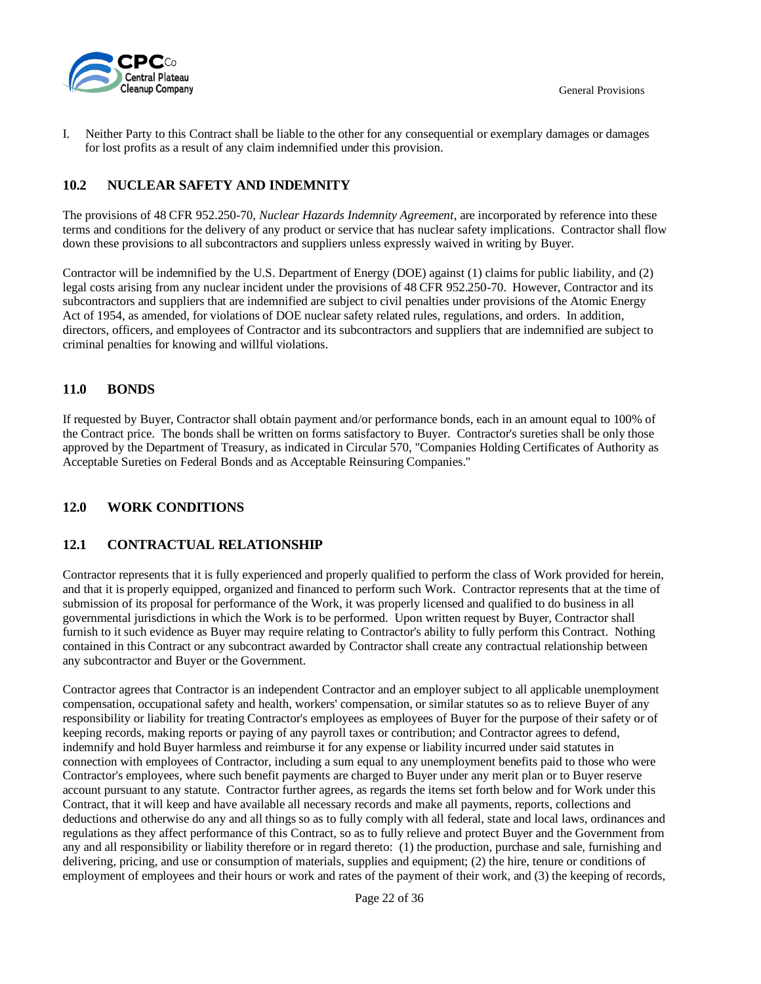

I. Neither Party to this Contract shall be liable to the other for any consequential or exemplary damages or damages for lost profits as a result of any claim indemnified under this provision.

## <span id="page-21-0"></span>**10.2 NUCLEAR SAFETY AND INDEMNITY**

The provisions of 48 CFR 952.250-70, *Nuclear Hazards Indemnity Agreement*, are incorporated by reference into these terms and conditions for the delivery of any product or service that has nuclear safety implications. Contractor shall flow down these provisions to all subcontractors and suppliers unless expressly waived in writing by Buyer.

Contractor will be indemnified by the U.S. Department of Energy (DOE) against (1) claims for public liability, and (2) legal costs arising from any nuclear incident under the provisions of 48 CFR 952.250-70. However, Contractor and its subcontractors and suppliers that are indemnified are subject to civil penalties under provisions of the Atomic Energy Act of 1954, as amended, for violations of DOE nuclear safety related rules, regulations, and orders. In addition, directors, officers, and employees of Contractor and its subcontractors and suppliers that are indemnified are subject to criminal penalties for knowing and willful violations.

#### <span id="page-21-1"></span>**11.0 BONDS**

If requested by Buyer, Contractor shall obtain payment and/or performance bonds, each in an amount equal to 100% of the Contract price. The bonds shall be written on forms satisfactory to Buyer. Contractor's sureties shall be only those approved by the Department of Treasury, as indicated in Circular 570, "Companies Holding Certificates of Authority as Acceptable Sureties on Federal Bonds and as Acceptable Reinsuring Companies."

#### <span id="page-21-2"></span>**12.0 WORK CONDITIONS**

#### <span id="page-21-3"></span>**12.1 CONTRACTUAL RELATIONSHIP**

Contractor represents that it is fully experienced and properly qualified to perform the class of Work provided for herein, and that it is properly equipped, organized and financed to perform such Work. Contractor represents that at the time of submission of its proposal for performance of the Work, it was properly licensed and qualified to do business in all governmental jurisdictions in which the Work is to be performed. Upon written request by Buyer, Contractor shall furnish to it such evidence as Buyer may require relating to Contractor's ability to fully perform this Contract. Nothing contained in this Contract or any subcontract awarded by Contractor shall create any contractual relationship between any subcontractor and Buyer or the Government.

Contractor agrees that Contractor is an independent Contractor and an employer subject to all applicable unemployment compensation, occupational safety and health, workers' compensation, or similar statutes so as to relieve Buyer of any responsibility or liability for treating Contractor's employees as employees of Buyer for the purpose of their safety or of keeping records, making reports or paying of any payroll taxes or contribution; and Contractor agrees to defend, indemnify and hold Buyer harmless and reimburse it for any expense or liability incurred under said statutes in connection with employees of Contractor, including a sum equal to any unemployment benefits paid to those who were Contractor's employees, where such benefit payments are charged to Buyer under any merit plan or to Buyer reserve account pursuant to any statute. Contractor further agrees, as regards the items set forth below and for Work under this Contract, that it will keep and have available all necessary records and make all payments, reports, collections and deductions and otherwise do any and all things so as to fully comply with all federal, state and local laws, ordinances and regulations as they affect performance of this Contract, so as to fully relieve and protect Buyer and the Government from any and all responsibility or liability therefore or in regard thereto: (1) the production, purchase and sale, furnishing and delivering, pricing, and use or consumption of materials, supplies and equipment; (2) the hire, tenure or conditions of employment of employees and their hours or work and rates of the payment of their work, and (3) the keeping of records,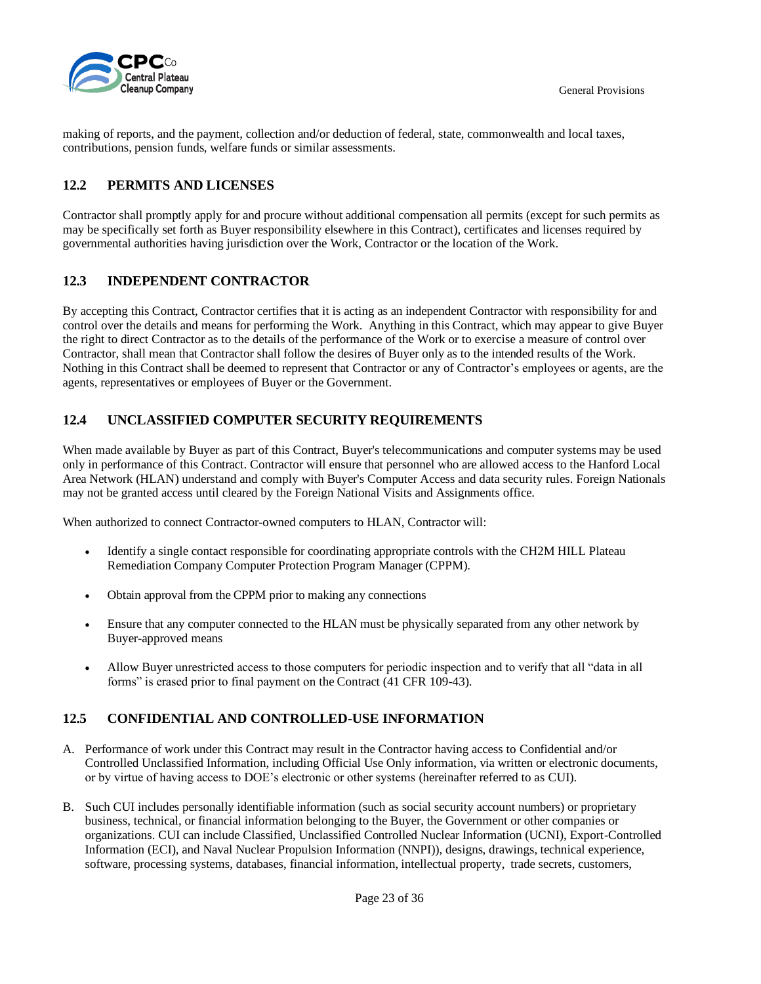

making of reports, and the payment, collection and/or deduction of federal, state, commonwealth and local taxes, contributions, pension funds, welfare funds or similar assessments.

## <span id="page-22-0"></span>**12.2 PERMITS AND LICENSES**

Contractor shall promptly apply for and procure without additional compensation all permits (except for such permits as may be specifically set forth as Buyer responsibility elsewhere in this Contract), certificates and licenses required by governmental authorities having jurisdiction over the Work, Contractor or the location of the Work.

#### <span id="page-22-1"></span>**12.3 INDEPENDENT CONTRACTOR**

By accepting this Contract, Contractor certifies that it is acting as an independent Contractor with responsibility for and control over the details and means for performing the Work. Anything in this Contract, which may appear to give Buyer the right to direct Contractor as to the details of the performance of the Work or to exercise a measure of control over Contractor, shall mean that Contractor shall follow the desires of Buyer only as to the intended results of the Work. Nothing in this Contract shall be deemed to represent that Contractor or any of Contractor's employees or agents, are the agents, representatives or employees of Buyer or the Government.

## <span id="page-22-2"></span>**12.4 UNCLASSIFIED COMPUTER SECURITY REQUIREMENTS**

When made available by Buyer as part of this Contract, Buyer's telecommunications and computer systems may be used only in performance of this Contract. Contractor will ensure that personnel who are allowed access to the Hanford Local Area Network (HLAN) understand and comply with Buyer's Computer Access and data security rules. Foreign Nationals may not be granted access until cleared by the Foreign National Visits and Assignments office.

When authorized to connect Contractor-owned computers to HLAN, Contractor will:

- Identify a single contact responsible for coordinating appropriate controls with the CH2M HILL Plateau Remediation Company Computer Protection Program Manager (CPPM).
- Obtain approval from the CPPM prior to making any connections
- Ensure that any computer connected to the HLAN must be physically separated from any other network by Buyer-approved means
- Allow Buyer unrestricted access to those computers for periodic inspection and to verify that all "data in all forms" is erased prior to final payment on the Contract (41 CFR 109-43).

## <span id="page-22-3"></span>**12.5 CONFIDENTIAL AND CONTROLLED-USE INFORMATION**

- A. Performance of work under this Contract may result in the Contractor having access to Confidential and/or Controlled Unclassified Information, including Official Use Only information, via written or electronic documents, or by virtue of having access to DOE's electronic or other systems (hereinafter referred to as CUI).
- B. Such CUI includes personally identifiable information (such as social security account numbers) or proprietary business, technical, or financial information belonging to the Buyer, the Government or other companies or organizations. CUI can include Classified, Unclassified Controlled Nuclear Information (UCNI), Export-Controlled Information (ECI), and Naval Nuclear Propulsion Information (NNPI)), designs, drawings, technical experience, software, processing systems, databases, financial information, intellectual property, trade secrets, customers,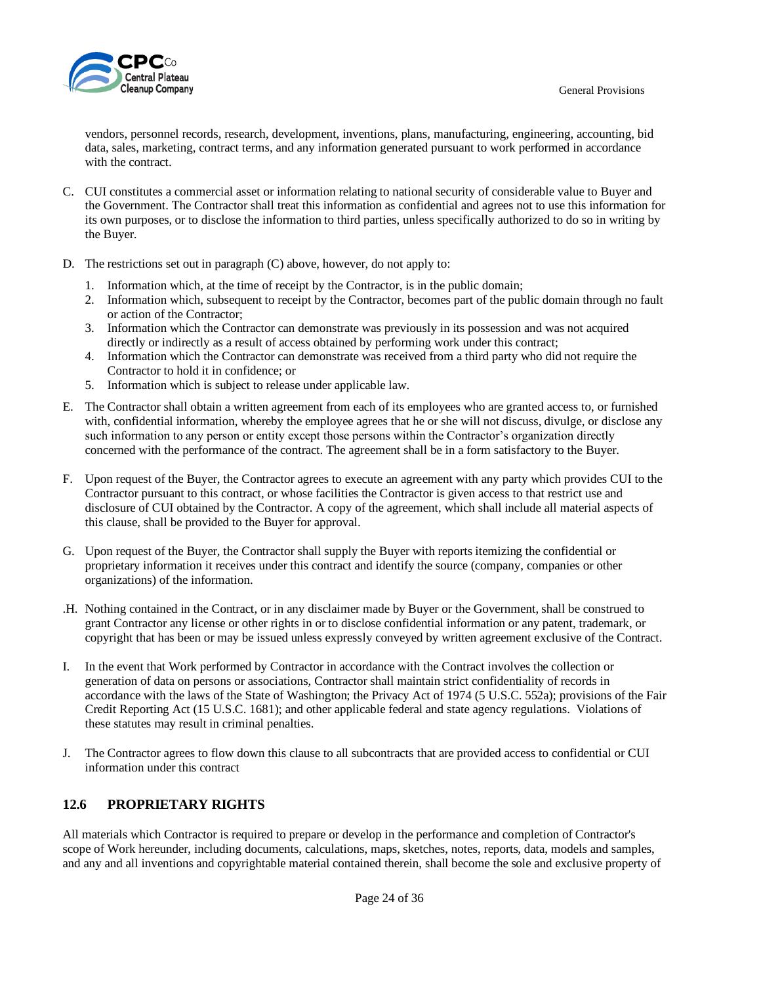

vendors, personnel records, research, development, inventions, plans, manufacturing, engineering, accounting, bid data, sales, marketing, contract terms, and any information generated pursuant to work performed in accordance with the contract.

- C. CUI constitutes a commercial asset or information relating to national security of considerable value to Buyer and the Government. The Contractor shall treat this information as confidential and agrees not to use this information for its own purposes, or to disclose the information to third parties, unless specifically authorized to do so in writing by the Buyer.
- D. The restrictions set out in paragraph (C) above, however, do not apply to:
	- 1. Information which, at the time of receipt by the Contractor, is in the public domain;
	- 2. Information which, subsequent to receipt by the Contractor, becomes part of the public domain through no fault or action of the Contractor;
	- 3. Information which the Contractor can demonstrate was previously in its possession and was not acquired directly or indirectly as a result of access obtained by performing work under this contract;
	- 4. Information which the Contractor can demonstrate was received from a third party who did not require the Contractor to hold it in confidence; or
	- 5. Information which is subject to release under applicable law.
- E. The Contractor shall obtain a written agreement from each of its employees who are granted access to, or furnished with, confidential information, whereby the employee agrees that he or she will not discuss, divulge, or disclose any such information to any person or entity except those persons within the Contractor's organization directly concerned with the performance of the contract. The agreement shall be in a form satisfactory to the Buyer.
- F. Upon request of the Buyer, the Contractor agrees to execute an agreement with any party which provides CUI to the Contractor pursuant to this contract, or whose facilities the Contractor is given access to that restrict use and disclosure of CUI obtained by the Contractor. A copy of the agreement, which shall include all material aspects of this clause, shall be provided to the Buyer for approval.
- G. Upon request of the Buyer, the Contractor shall supply the Buyer with reports itemizing the confidential or proprietary information it receives under this contract and identify the source (company, companies or other organizations) of the information.
- .H. Nothing contained in the Contract, or in any disclaimer made by Buyer or the Government, shall be construed to grant Contractor any license or other rights in or to disclose confidential information or any patent, trademark, or copyright that has been or may be issued unless expressly conveyed by written agreement exclusive of the Contract.
- I. In the event that Work performed by Contractor in accordance with the Contract involves the collection or generation of data on persons or associations, Contractor shall maintain strict confidentiality of records in accordance with the laws of the State of Washington; the Privacy Act of 1974 (5 U.S.C. 552a); provisions of the Fair Credit Reporting Act (15 U.S.C. 1681); and other applicable federal and state agency regulations. Violations of these statutes may result in criminal penalties.
- J. The Contractor agrees to flow down this clause to all subcontracts that are provided access to confidential or CUI information under this contract

#### <span id="page-23-0"></span>**12.6 PROPRIETARY RIGHTS**

All materials which Contractor is required to prepare or develop in the performance and completion of Contractor's scope of Work hereunder, including documents, calculations, maps, sketches, notes, reports, data, models and samples, and any and all inventions and copyrightable material contained therein, shall become the sole and exclusive property of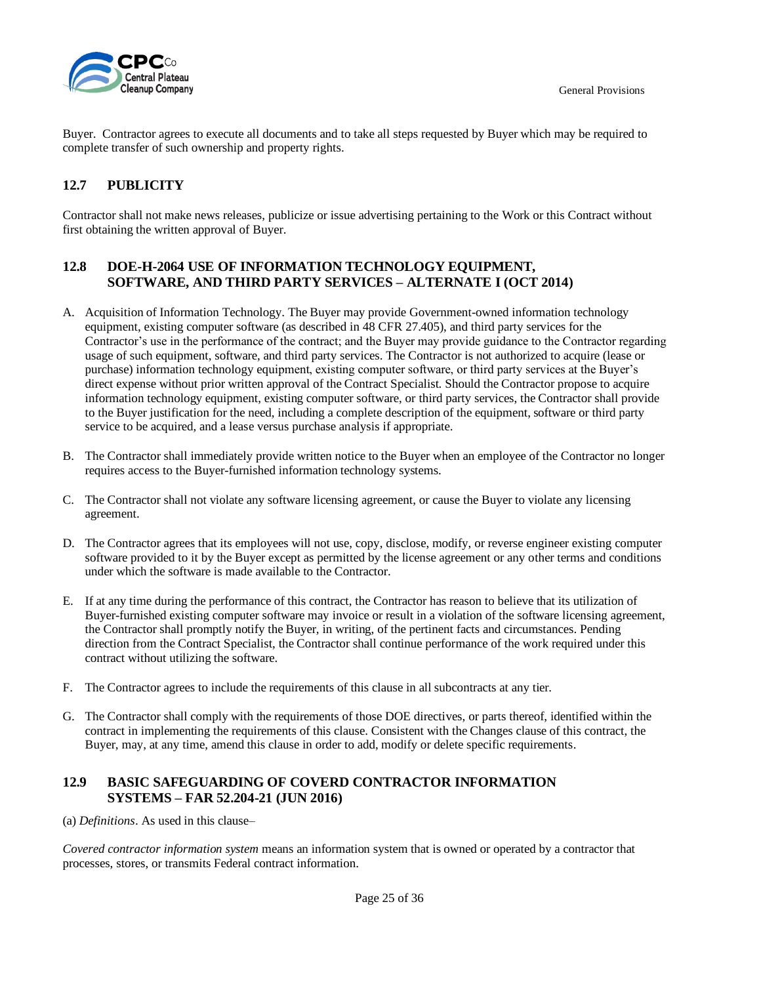

Buyer. Contractor agrees to execute all documents and to take all steps requested by Buyer which may be required to complete transfer of such ownership and property rights.

## <span id="page-24-0"></span>**12.7 PUBLICITY**

Contractor shall not make news releases, publicize or issue advertising pertaining to the Work or this Contract without first obtaining the written approval of Buyer.

#### <span id="page-24-1"></span>**12.8 DOE-H-2064 USE OF INFORMATION TECHNOLOGY EQUIPMENT, SOFTWARE, AND THIRD PARTY SERVICES – ALTERNATE I (OCT 2014)**

- A. Acquisition of Information Technology. The Buyer may provide Government-owned information technology equipment, existing computer software (as described in 48 CFR 27.405), and third party services for the Contractor's use in the performance of the contract; and the Buyer may provide guidance to the Contractor regarding usage of such equipment, software, and third party services. The Contractor is not authorized to acquire (lease or purchase) information technology equipment, existing computer software, or third party services at the Buyer's direct expense without prior written approval of the Contract Specialist. Should the Contractor propose to acquire information technology equipment, existing computer software, or third party services, the Contractor shall provide to the Buyer justification for the need, including a complete description of the equipment, software or third party service to be acquired, and a lease versus purchase analysis if appropriate.
- B. The Contractor shall immediately provide written notice to the Buyer when an employee of the Contractor no longer requires access to the Buyer-furnished information technology systems.
- C. The Contractor shall not violate any software licensing agreement, or cause the Buyer to violate any licensing agreement.
- D. The Contractor agrees that its employees will not use, copy, disclose, modify, or reverse engineer existing computer software provided to it by the Buyer except as permitted by the license agreement or any other terms and conditions under which the software is made available to the Contractor.
- E. If at any time during the performance of this contract, the Contractor has reason to believe that its utilization of Buyer-furnished existing computer software may invoice or result in a violation of the software licensing agreement, the Contractor shall promptly notify the Buyer, in writing, of the pertinent facts and circumstances. Pending direction from the Contract Specialist, the Contractor shall continue performance of the work required under this contract without utilizing the software.
- F. The Contractor agrees to include the requirements of this clause in all subcontracts at any tier.
- G. The Contractor shall comply with the requirements of those DOE directives, or parts thereof, identified within the contract in implementing the requirements of this clause. Consistent with the Changes clause of this contract, the Buyer, may, at any time, amend this clause in order to add, modify or delete specific requirements.

#### <span id="page-24-2"></span>**12.9 BASIC SAFEGUARDING OF COVERD CONTRACTOR INFORMATION SYSTEMS – FAR 52.204-21 (JUN 2016)**

(a) *Definitions*. As used in this clause–

*Covered contractor information system* means an information system that is owned or operated by a contractor that processes, stores, or transmits Federal contract information.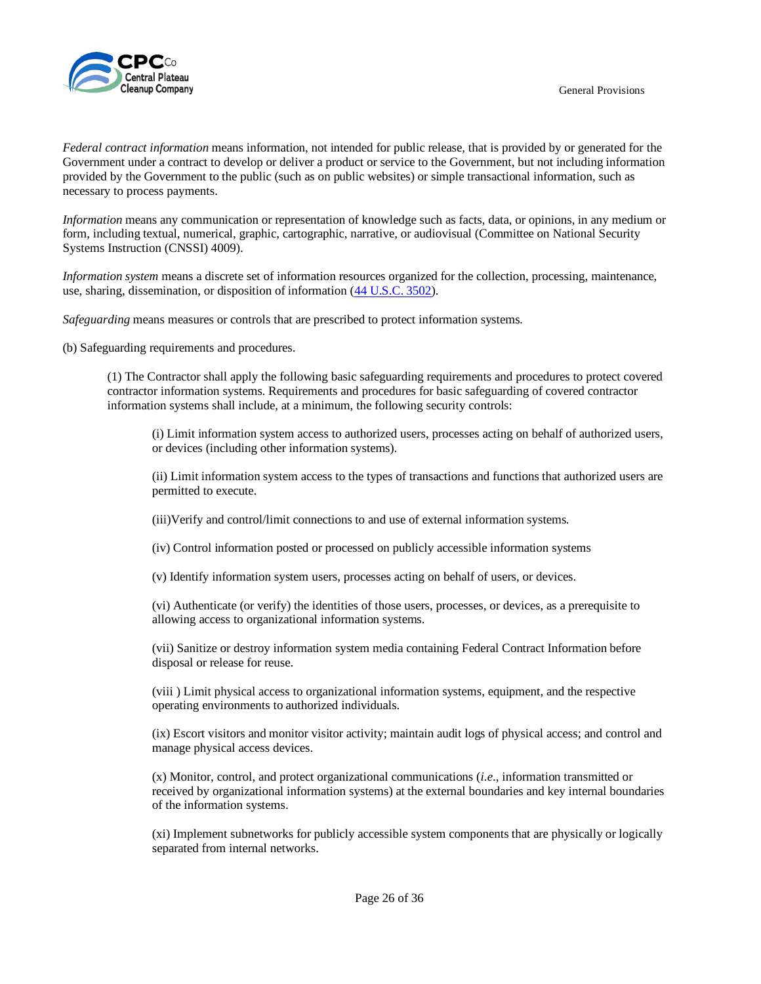

*Federal contract information* means information, not intended for public release, that is provided by or generated for the Government under a contract to develop or deliver a product or service to the Government, but not including information provided by the Government to the public (such as on public websites) or simple transactional information, such as necessary to process payments.

*Information* means any communication or representation of knowledge such as facts, data, or opinions, in any medium or form, including textual, numerical, graphic, cartographic, narrative, or audiovisual (Committee on National Security Systems Instruction (CNSSI) 4009).

*Information system* means a discrete set of information resources organized for the collection, processing, maintenance, use, sharing, dissemination, or disposition of information [\(44 U.S.C. 3502\)](http://uscode.house.gov/browse.xhtml;jsessionid=114A3287C7B3359E597506A31FC855B3).

*Safeguarding* means measures or controls that are prescribed to protect information systems.

(b) Safeguarding requirements and procedures.

(1) The Contractor shall apply the following basic safeguarding requirements and procedures to protect covered contractor information systems. Requirements and procedures for basic safeguarding of covered contractor information systems shall include, at a minimum, the following security controls:

(i) Limit information system access to authorized users, processes acting on behalf of authorized users, or devices (including other information systems).

(ii) Limit information system access to the types of transactions and functions that authorized users are permitted to execute.

(iii)Verify and control/limit connections to and use of external information systems.

(iv) Control information posted or processed on publicly accessible information systems

(v) Identify information system users, processes acting on behalf of users, or devices.

(vi) Authenticate (or verify) the identities of those users, processes, or devices, as a prerequisite to allowing access to organizational information systems.

(vii) Sanitize or destroy information system media containing Federal Contract Information before disposal or release for reuse.

(viii ) Limit physical access to organizational information systems, equipment, and the respective operating environments to authorized individuals.

(ix) Escort visitors and monitor visitor activity; maintain audit logs of physical access; and control and manage physical access devices.

(x) Monitor, control, and protect organizational communications (*i.e*., information transmitted or received by organizational information systems) at the external boundaries and key internal boundaries of the information systems.

(xi) Implement subnetworks for publicly accessible system components that are physically or logically separated from internal networks.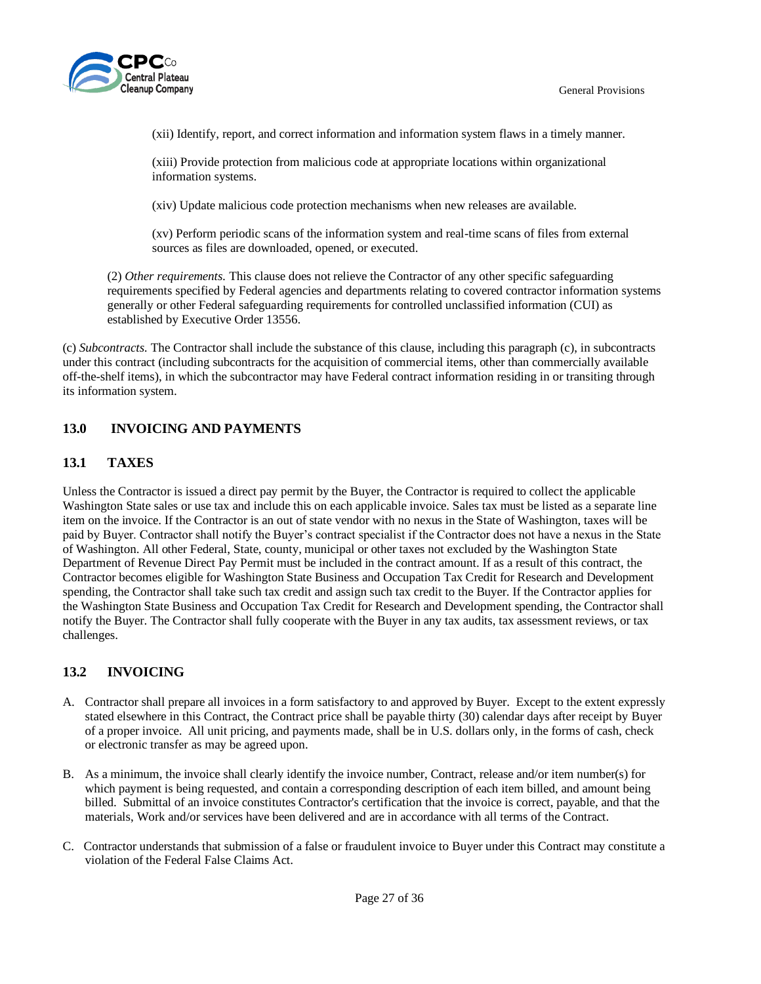

(xii) Identify, report, and correct information and information system flaws in a timely manner.

(xiii) Provide protection from malicious code at appropriate locations within organizational information systems.

(xiv) Update malicious code protection mechanisms when new releases are available.

(xv) Perform periodic scans of the information system and real-time scans of files from external sources as files are downloaded, opened, or executed.

(2) *Other requirements.* This clause does not relieve the Contractor of any other specific safeguarding requirements specified by Federal agencies and departments relating to covered contractor information systems generally or other Federal safeguarding requirements for controlled unclassified information (CUI) as established by Executive Order 13556.

(c) *Subcontracts.* The Contractor shall include the substance of this clause, including this paragraph (c), in subcontracts under this contract (including subcontracts for the acquisition of commercial items, other than commercially available off-the-shelf items), in which the subcontractor may have Federal contract information residing in or transiting through its information system.

#### <span id="page-26-0"></span>**13.0 INVOICING AND PAYMENTS**

#### <span id="page-26-1"></span>**13.1 TAXES**

Unless the Contractor is issued a direct pay permit by the Buyer, the Contractor is required to collect the applicable Washington State sales or use tax and include this on each applicable invoice. Sales tax must be listed as a separate line item on the invoice. If the Contractor is an out of state vendor with no nexus in the State of Washington, taxes will be paid by Buyer. Contractor shall notify the Buyer's contract specialist if the Contractor does not have a nexus in the State of Washington. All other Federal, State, county, municipal or other taxes not excluded by the Washington State Department of Revenue Direct Pay Permit must be included in the contract amount. If as a result of this contract, the Contractor becomes eligible for Washington State Business and Occupation Tax Credit for Research and Development spending, the Contractor shall take such tax credit and assign such tax credit to the Buyer. If the Contractor applies for the Washington State Business and Occupation Tax Credit for Research and Development spending, the Contractor shall notify the Buyer. The Contractor shall fully cooperate with the Buyer in any tax audits, tax assessment reviews, or tax challenges.

#### <span id="page-26-2"></span>**13.2 INVOICING**

- A. Contractor shall prepare all invoices in a form satisfactory to and approved by Buyer. Except to the extent expressly stated elsewhere in this Contract, the Contract price shall be payable thirty (30) calendar days after receipt by Buyer of a proper invoice. All unit pricing, and payments made, shall be in U.S. dollars only, in the forms of cash, check or electronic transfer as may be agreed upon.
- B. As a minimum, the invoice shall clearly identify the invoice number, Contract, release and/or item number(s) for which payment is being requested, and contain a corresponding description of each item billed, and amount being billed. Submittal of an invoice constitutes Contractor's certification that the invoice is correct, payable, and that the materials, Work and/or services have been delivered and are in accordance with all terms of the Contract.
- C. Contractor understands that submission of a false or fraudulent invoice to Buyer under this Contract may constitute a violation of the Federal False Claims Act.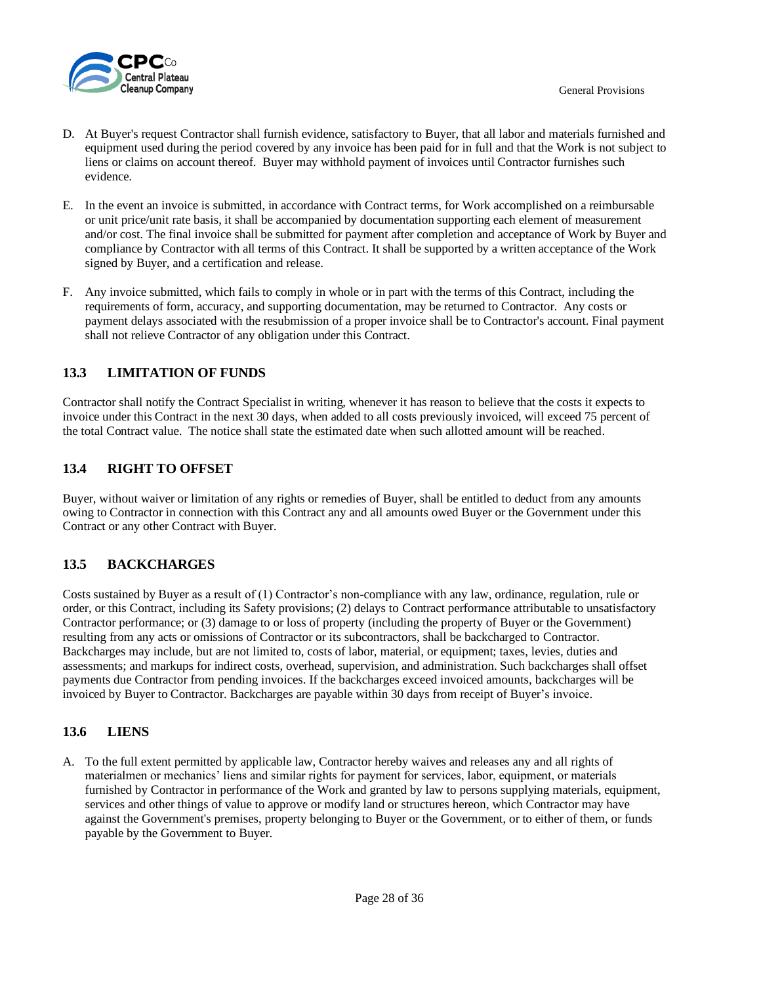

- D. At Buyer's request Contractor shall furnish evidence, satisfactory to Buyer, that all labor and materials furnished and equipment used during the period covered by any invoice has been paid for in full and that the Work is not subject to liens or claims on account thereof. Buyer may withhold payment of invoices until Contractor furnishes such evidence.
- E. In the event an invoice is submitted, in accordance with Contract terms, for Work accomplished on a reimbursable or unit price/unit rate basis, it shall be accompanied by documentation supporting each element of measurement and/or cost. The final invoice shall be submitted for payment after completion and acceptance of Work by Buyer and compliance by Contractor with all terms of this Contract. It shall be supported by a written acceptance of the Work signed by Buyer, and a certification and release.
- F. Any invoice submitted, which fails to comply in whole or in part with the terms of this Contract, including the requirements of form, accuracy, and supporting documentation, may be returned to Contractor. Any costs or payment delays associated with the resubmission of a proper invoice shall be to Contractor's account. Final payment shall not relieve Contractor of any obligation under this Contract.

## <span id="page-27-0"></span>**13.3 LIMITATION OF FUNDS**

Contractor shall notify the Contract Specialist in writing, whenever it has reason to believe that the costs it expects to invoice under this Contract in the next 30 days, when added to all costs previously invoiced, will exceed 75 percent of the total Contract value. The notice shall state the estimated date when such allotted amount will be reached.

## <span id="page-27-1"></span>**13.4 RIGHT TO OFFSET**

Buyer, without waiver or limitation of any rights or remedies of Buyer, shall be entitled to deduct from any amounts owing to Contractor in connection with this Contract any and all amounts owed Buyer or the Government under this Contract or any other Contract with Buyer.

# <span id="page-27-2"></span>**13.5 BACKCHARGES**

Costs sustained by Buyer as a result of (1) Contractor's non-compliance with any law, ordinance, regulation, rule or order, or this Contract, including its Safety provisions; (2) delays to Contract performance attributable to unsatisfactory Contractor performance; or (3) damage to or loss of property (including the property of Buyer or the Government) resulting from any acts or omissions of Contractor or its subcontractors, shall be backcharged to Contractor. Backcharges may include, but are not limited to, costs of labor, material, or equipment; taxes, levies, duties and assessments; and markups for indirect costs, overhead, supervision, and administration. Such backcharges shall offset payments due Contractor from pending invoices. If the backcharges exceed invoiced amounts, backcharges will be invoiced by Buyer to Contractor. Backcharges are payable within 30 days from receipt of Buyer's invoice.

## <span id="page-27-3"></span>**13.6 LIENS**

A. To the full extent permitted by applicable law, Contractor hereby waives and releases any and all rights of materialmen or mechanics' liens and similar rights for payment for services, labor, equipment, or materials furnished by Contractor in performance of the Work and granted by law to persons supplying materials, equipment, services and other things of value to approve or modify land or structures hereon, which Contractor may have against the Government's premises, property belonging to Buyer or the Government, or to either of them, or funds payable by the Government to Buyer.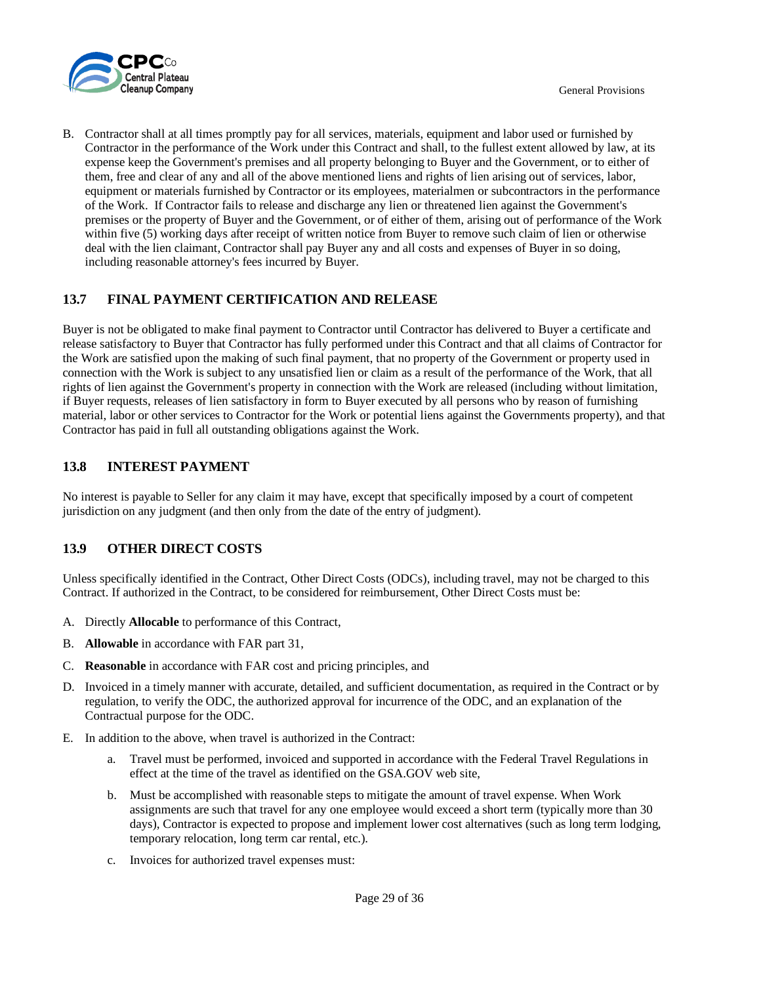

B. Contractor shall at all times promptly pay for all services, materials, equipment and labor used or furnished by Contractor in the performance of the Work under this Contract and shall, to the fullest extent allowed by law, at its expense keep the Government's premises and all property belonging to Buyer and the Government, or to either of them, free and clear of any and all of the above mentioned liens and rights of lien arising out of services, labor, equipment or materials furnished by Contractor or its employees, materialmen or subcontractors in the performance of the Work. If Contractor fails to release and discharge any lien or threatened lien against the Government's premises or the property of Buyer and the Government, or of either of them, arising out of performance of the Work within five (5) working days after receipt of written notice from Buyer to remove such claim of lien or otherwise deal with the lien claimant, Contractor shall pay Buyer any and all costs and expenses of Buyer in so doing, including reasonable attorney's fees incurred by Buyer.

## <span id="page-28-0"></span>**13.7 FINAL PAYMENT CERTIFICATION AND RELEASE**

Buyer is not be obligated to make final payment to Contractor until Contractor has delivered to Buyer a certificate and release satisfactory to Buyer that Contractor has fully performed under this Contract and that all claims of Contractor for the Work are satisfied upon the making of such final payment, that no property of the Government or property used in connection with the Work is subject to any unsatisfied lien or claim as a result of the performance of the Work, that all rights of lien against the Government's property in connection with the Work are released (including without limitation, if Buyer requests, releases of lien satisfactory in form to Buyer executed by all persons who by reason of furnishing material, labor or other services to Contractor for the Work or potential liens against the Governments property), and that Contractor has paid in full all outstanding obligations against the Work.

## <span id="page-28-1"></span>**13.8 INTEREST PAYMENT**

No interest is payable to Seller for any claim it may have, except that specifically imposed by a court of competent jurisdiction on any judgment (and then only from the date of the entry of judgment).

## <span id="page-28-2"></span>**13.9 OTHER DIRECT COSTS**

Unless specifically identified in the Contract, Other Direct Costs (ODCs), including travel, may not be charged to this Contract. If authorized in the Contract, to be considered for reimbursement, Other Direct Costs must be:

- A. Directly **Allocable** to performance of this Contract,
- B. **Allowable** in accordance with FAR part 31,
- C. **Reasonable** in accordance with FAR cost and pricing principles, and
- D. Invoiced in a timely manner with accurate, detailed, and sufficient documentation, as required in the Contract or by regulation, to verify the ODC, the authorized approval for incurrence of the ODC, and an explanation of the Contractual purpose for the ODC.
- E. In addition to the above, when travel is authorized in the Contract:
	- a. Travel must be performed, invoiced and supported in accordance with the Federal Travel Regulations in effect at the time of the travel as identified on the GSA.GOV web site,
	- b. Must be accomplished with reasonable steps to mitigate the amount of travel expense. When Work assignments are such that travel for any one employee would exceed a short term (typically more than 30 days), Contractor is expected to propose and implement lower cost alternatives (such as long term lodging, temporary relocation, long term car rental, etc.).
	- c. Invoices for authorized travel expenses must: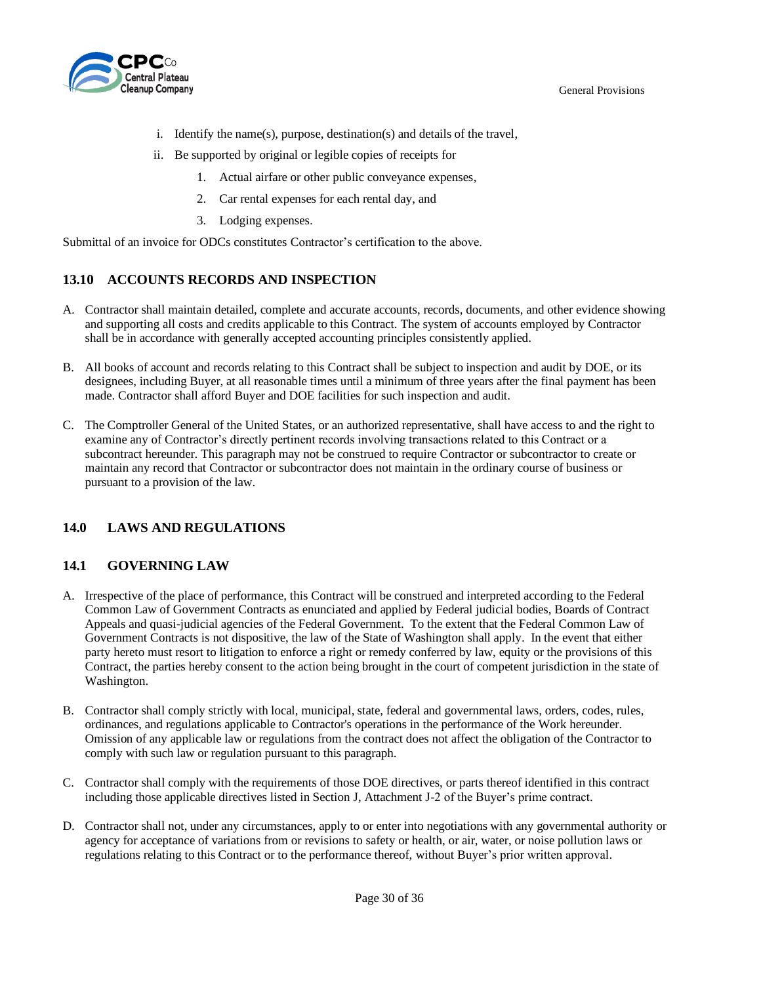

General Provisions

- i. Identify the name(s), purpose, destination(s) and details of the travel,
- ii. Be supported by original or legible copies of receipts for
	- 1. Actual airfare or other public conveyance expenses,
	- 2. Car rental expenses for each rental day, and
	- 3. Lodging expenses.

Submittal of an invoice for ODCs constitutes Contractor's certification to the above.

## <span id="page-29-0"></span>**13.10 ACCOUNTS RECORDS AND INSPECTION**

- A. Contractor shall maintain detailed, complete and accurate accounts, records, documents, and other evidence showing and supporting all costs and credits applicable to this Contract. The system of accounts employed by Contractor shall be in accordance with generally accepted accounting principles consistently applied.
- B. All books of account and records relating to this Contract shall be subject to inspection and audit by DOE, or its designees, including Buyer, at all reasonable times until a minimum of three years after the final payment has been made. Contractor shall afford Buyer and DOE facilities for such inspection and audit.
- C. The Comptroller General of the United States, or an authorized representative, shall have access to and the right to examine any of Contractor's directly pertinent records involving transactions related to this Contract or a subcontract hereunder. This paragraph may not be construed to require Contractor or subcontractor to create or maintain any record that Contractor or subcontractor does not maintain in the ordinary course of business or pursuant to a provision of the law.

## <span id="page-29-1"></span>**14.0 LAWS AND REGULATIONS**

## <span id="page-29-2"></span>**14.1 GOVERNING LAW**

- A. Irrespective of the place of performance, this Contract will be construed and interpreted according to the Federal Common Law of Government Contracts as enunciated and applied by Federal judicial bodies, Boards of Contract Appeals and quasi-judicial agencies of the Federal Government. To the extent that the Federal Common Law of Government Contracts is not dispositive, the law of the State of Washington shall apply. In the event that either party hereto must resort to litigation to enforce a right or remedy conferred by law, equity or the provisions of this Contract, the parties hereby consent to the action being brought in the court of competent jurisdiction in the state of Washington.
- B. Contractor shall comply strictly with local, municipal, state, federal and governmental laws, orders, codes, rules, ordinances, and regulations applicable to Contractor's operations in the performance of the Work hereunder. Omission of any applicable law or regulations from the contract does not affect the obligation of the Contractor to comply with such law or regulation pursuant to this paragraph.
- C. Contractor shall comply with the requirements of those DOE directives, or parts thereof identified in this contract including those applicable directives listed in Section J, Attachment J-2 of the Buyer's prime contract.
- D. Contractor shall not, under any circumstances, apply to or enter into negotiations with any governmental authority or agency for acceptance of variations from or revisions to safety or health, or air, water, or noise pollution laws or regulations relating to this Contract or to the performance thereof, without Buyer's prior written approval.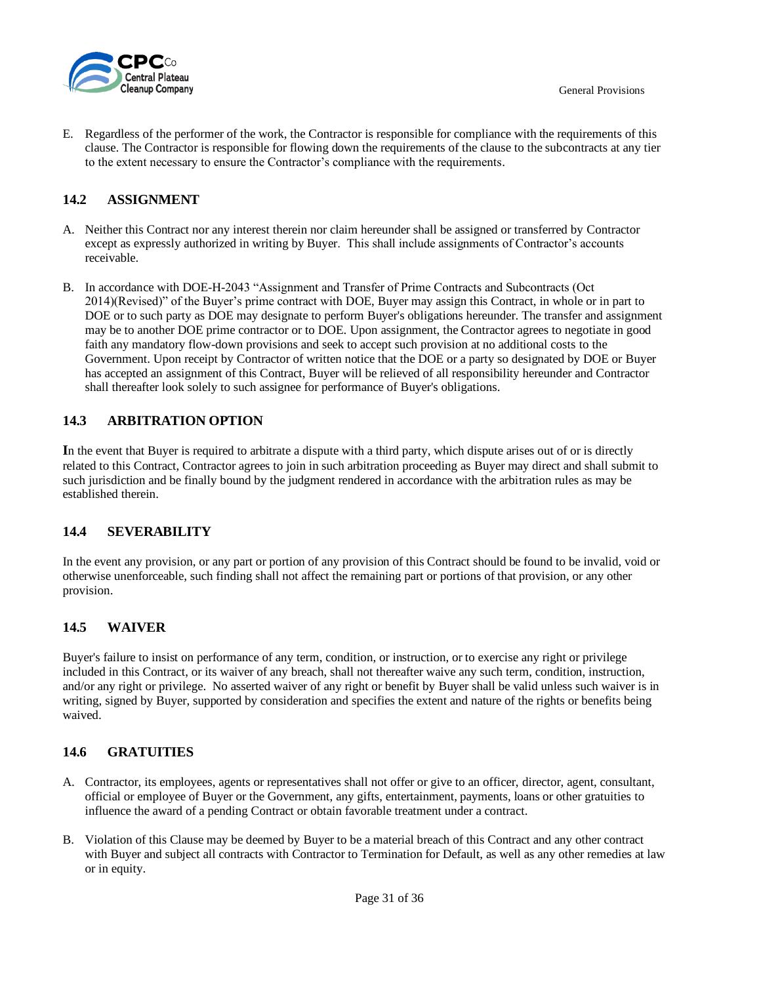

E. Regardless of the performer of the work, the Contractor is responsible for compliance with the requirements of this clause. The Contractor is responsible for flowing down the requirements of the clause to the subcontracts at any tier to the extent necessary to ensure the Contractor's compliance with the requirements.

## <span id="page-30-0"></span>**14.2 ASSIGNMENT**

- A. Neither this Contract nor any interest therein nor claim hereunder shall be assigned or transferred by Contractor except as expressly authorized in writing by Buyer. This shall include assignments of Contractor's accounts receivable.
- B. In accordance with DOE-H-2043 "Assignment and Transfer of Prime Contracts and Subcontracts (Oct 2014)(Revised)" of the Buyer's prime contract with DOE, Buyer may assign this Contract, in whole or in part to DOE or to such party as DOE may designate to perform Buyer's obligations hereunder. The transfer and assignment may be to another DOE prime contractor or to DOE. Upon assignment, the Contractor agrees to negotiate in good faith any mandatory flow-down provisions and seek to accept such provision at no additional costs to the Government. Upon receipt by Contractor of written notice that the DOE or a party so designated by DOE or Buyer has accepted an assignment of this Contract, Buyer will be relieved of all responsibility hereunder and Contractor shall thereafter look solely to such assignee for performance of Buyer's obligations.

## <span id="page-30-1"></span>**14.3 ARBITRATION OPTION**

**I**n the event that Buyer is required to arbitrate a dispute with a third party, which dispute arises out of or is directly related to this Contract, Contractor agrees to join in such arbitration proceeding as Buyer may direct and shall submit to such jurisdiction and be finally bound by the judgment rendered in accordance with the arbitration rules as may be established therein.

#### <span id="page-30-2"></span>**14.4 SEVERABILITY**

In the event any provision, or any part or portion of any provision of this Contract should be found to be invalid, void or otherwise unenforceable, such finding shall not affect the remaining part or portions of that provision, or any other provision.

## <span id="page-30-3"></span>**14.5 WAIVER**

Buyer's failure to insist on performance of any term, condition, or instruction, or to exercise any right or privilege included in this Contract, or its waiver of any breach, shall not thereafter waive any such term, condition, instruction, and/or any right or privilege. No asserted waiver of any right or benefit by Buyer shall be valid unless such waiver is in writing, signed by Buyer, supported by consideration and specifies the extent and nature of the rights or benefits being waived.

#### <span id="page-30-4"></span>**14.6 GRATUITIES**

- A. Contractor, its employees, agents or representatives shall not offer or give to an officer, director, agent, consultant, official or employee of Buyer or the Government, any gifts, entertainment, payments, loans or other gratuities to influence the award of a pending Contract or obtain favorable treatment under a contract.
- B. Violation of this Clause may be deemed by Buyer to be a material breach of this Contract and any other contract with Buyer and subject all contracts with Contractor to Termination for Default, as well as any other remedies at law or in equity.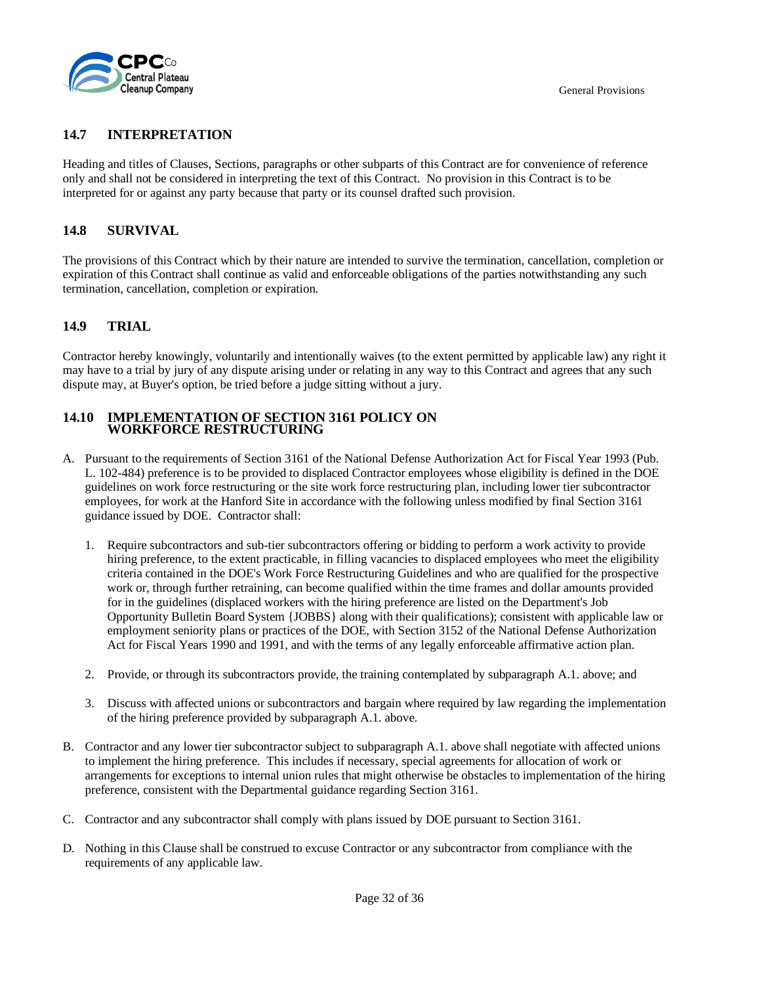

#### <span id="page-31-0"></span>**14.7 INTERPRETATION**

Heading and titles of Clauses, Sections, paragraphs or other subparts of this Contract are for convenience of reference only and shall not be considered in interpreting the text of this Contract. No provision in this Contract is to be interpreted for or against any party because that party or its counsel drafted such provision.

#### <span id="page-31-1"></span>**14.8 SURVIVAL**

The provisions of this Contract which by their nature are intended to survive the termination, cancellation, completion or expiration of this Contract shall continue as valid and enforceable obligations of the parties notwithstanding any such termination, cancellation, completion or expiration.

#### <span id="page-31-2"></span>**14.9 TRIAL**

Contractor hereby knowingly, voluntarily and intentionally waives (to the extent permitted by applicable law) any right it may have to a trial by jury of any dispute arising under or relating in any way to this Contract and agrees that any such dispute may, at Buyer's option, be tried before a judge sitting without a jury.

#### <span id="page-31-3"></span>**14.10 IMPLEMENTATION OF SECTION 3161 POLICY ON WORKFORCE RESTRUCTURING**

- A. Pursuant to the requirements of Section 3161 of the National Defense Authorization Act for Fiscal Year 1993 (Pub. L. 102-484) preference is to be provided to displaced Contractor employees whose eligibility is defined in the DOE guidelines on work force restructuring or the site work force restructuring plan, including lower tier subcontractor employees, for work at the Hanford Site in accordance with the following unless modified by final Section 3161 guidance issued by DOE. Contractor shall:
	- 1. Require subcontractors and sub-tier subcontractors offering or bidding to perform a work activity to provide hiring preference, to the extent practicable, in filling vacancies to displaced employees who meet the eligibility criteria contained in the DOE's Work Force Restructuring Guidelines and who are qualified for the prospective work or, through further retraining, can become qualified within the time frames and dollar amounts provided for in the guidelines (displaced workers with the hiring preference are listed on the Department's Job Opportunity Bulletin Board System {JOBBS} along with their qualifications); consistent with applicable law or employment seniority plans or practices of the DOE, with Section 3152 of the National Defense Authorization Act for Fiscal Years 1990 and 1991, and with the terms of any legally enforceable affirmative action plan.
	- 2. Provide, or through its subcontractors provide, the training contemplated by subparagraph A.1. above; and
	- 3. Discuss with affected unions or subcontractors and bargain where required by law regarding the implementation of the hiring preference provided by subparagraph A.1. above.
- B. Contractor and any lower tier subcontractor subject to subparagraph A.1. above shall negotiate with affected unions to implement the hiring preference. This includes if necessary, special agreements for allocation of work or arrangements for exceptions to internal union rules that might otherwise be obstacles to implementation of the hiring preference, consistent with the Departmental guidance regarding Section 3161.
- C. Contractor and any subcontractor shall comply with plans issued by DOE pursuant to Section 3161.
- D. Nothing in this Clause shall be construed to excuse Contractor or any subcontractor from compliance with the requirements of any applicable law.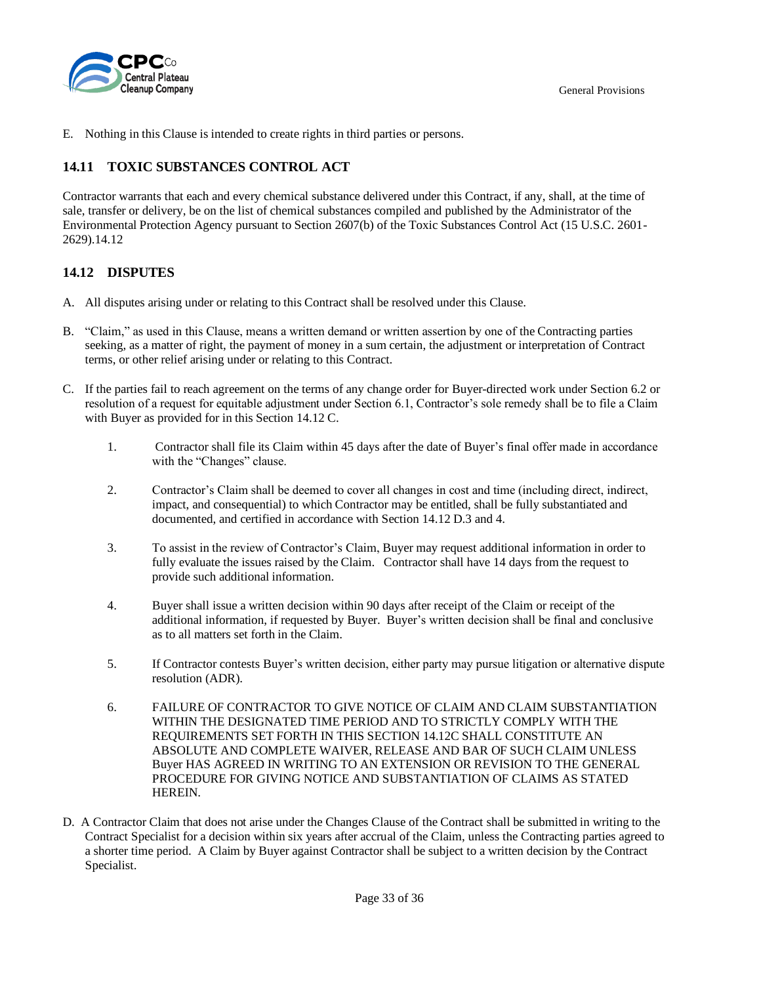

E. Nothing in this Clause is intended to create rights in third parties or persons.

# <span id="page-32-0"></span>**14.11 TOXIC SUBSTANCES CONTROL ACT**

Contractor warrants that each and every chemical substance delivered under this Contract, if any, shall, at the time of sale, transfer or delivery, be on the list of chemical substances compiled and published by the Administrator of the Environmental Protection Agency pursuant to Section 2607(b) of the Toxic Substances Control Act (15 U.S.C. 2601- 2629).14.12

## <span id="page-32-1"></span>**14.12 DISPUTES**

- A. All disputes arising under or relating to this Contract shall be resolved under this Clause.
- B. "Claim," as used in this Clause, means a written demand or written assertion by one of the Contracting parties seeking, as a matter of right, the payment of money in a sum certain, the adjustment or interpretation of Contract terms, or other relief arising under or relating to this Contract.
- C. If the parties fail to reach agreement on the terms of any change order for Buyer-directed work under Section 6.2 or resolution of a request for equitable adjustment under Section 6.1, Contractor's sole remedy shall be to file a Claim with Buyer as provided for in this Section 14.12 C.
	- 1. Contractor shall file its Claim within 45 days after the date of Buyer's final offer made in accordance with the "Changes" clause.
	- 2. Contractor's Claim shall be deemed to cover all changes in cost and time (including direct, indirect, impact, and consequential) to which Contractor may be entitled, shall be fully substantiated and documented, and certified in accordance with Section 14.12 D.3 and 4.
	- 3. To assist in the review of Contractor's Claim, Buyer may request additional information in order to fully evaluate the issues raised by the Claim. Contractor shall have 14 days from the request to provide such additional information.
	- 4. Buyer shall issue a written decision within 90 days after receipt of the Claim or receipt of the additional information, if requested by Buyer. Buyer's written decision shall be final and conclusive as to all matters set forth in the Claim.
	- 5. If Contractor contests Buyer's written decision, either party may pursue litigation or alternative dispute resolution (ADR).
	- 6. FAILURE OF CONTRACTOR TO GIVE NOTICE OF CLAIM AND CLAIM SUBSTANTIATION WITHIN THE DESIGNATED TIME PERIOD AND TO STRICTLY COMPLY WITH THE REQUIREMENTS SET FORTH IN THIS SECTION 14.12C SHALL CONSTITUTE AN ABSOLUTE AND COMPLETE WAIVER, RELEASE AND BAR OF SUCH CLAIM UNLESS Buyer HAS AGREED IN WRITING TO AN EXTENSION OR REVISION TO THE GENERAL PROCEDURE FOR GIVING NOTICE AND SUBSTANTIATION OF CLAIMS AS STATED HEREIN.
- D. A Contractor Claim that does not arise under the Changes Clause of the Contract shall be submitted in writing to the Contract Specialist for a decision within six years after accrual of the Claim, unless the Contracting parties agreed to a shorter time period. A Claim by Buyer against Contractor shall be subject to a written decision by the Contract Specialist.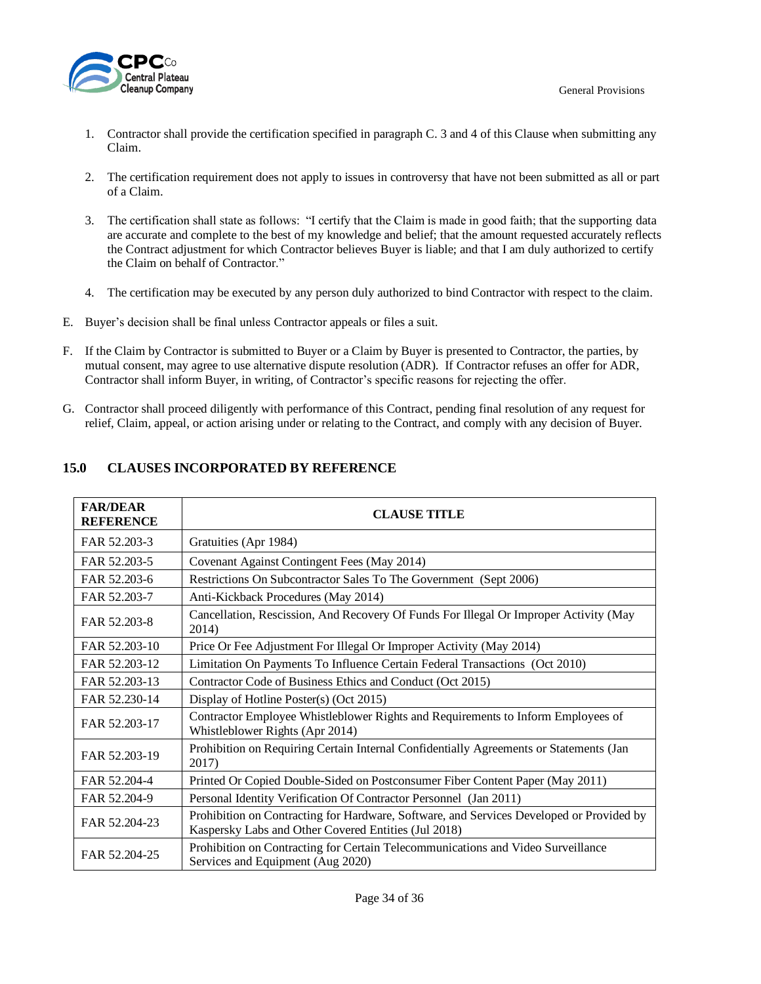General Provisions



- 1. Contractor shall provide the certification specified in paragraph C. 3 and 4 of this Clause when submitting any Claim.
- 2. The certification requirement does not apply to issues in controversy that have not been submitted as all or part of a Claim.
- 3. The certification shall state as follows: "I certify that the Claim is made in good faith; that the supporting data are accurate and complete to the best of my knowledge and belief; that the amount requested accurately reflects the Contract adjustment for which Contractor believes Buyer is liable; and that I am duly authorized to certify the Claim on behalf of Contractor."
- 4. The certification may be executed by any person duly authorized to bind Contractor with respect to the claim.
- E. Buyer's decision shall be final unless Contractor appeals or files a suit.
- F. If the Claim by Contractor is submitted to Buyer or a Claim by Buyer is presented to Contractor, the parties, by mutual consent, may agree to use alternative dispute resolution (ADR). If Contractor refuses an offer for ADR, Contractor shall inform Buyer, in writing, of Contractor's specific reasons for rejecting the offer.
- G. Contractor shall proceed diligently with performance of this Contract, pending final resolution of any request for relief, Claim, appeal, or action arising under or relating to the Contract, and comply with any decision of Buyer.

| <b>FAR/DEAR</b><br><b>REFERENCE</b> | <b>CLAUSE TITLE</b>                                                                                                                              |
|-------------------------------------|--------------------------------------------------------------------------------------------------------------------------------------------------|
| FAR 52.203-3                        | Gratuities (Apr 1984)                                                                                                                            |
| FAR 52.203-5                        | Covenant Against Contingent Fees (May 2014)                                                                                                      |
| FAR 52.203-6                        | Restrictions On Subcontractor Sales To The Government (Sept 2006)                                                                                |
| FAR 52.203-7                        | Anti-Kickback Procedures (May 2014)                                                                                                              |
| FAR 52.203-8                        | Cancellation, Rescission, And Recovery Of Funds For Illegal Or Improper Activity (May<br>2014)                                                   |
| FAR 52.203-10                       | Price Or Fee Adjustment For Illegal Or Improper Activity (May 2014)                                                                              |
| FAR 52.203-12                       | Limitation On Payments To Influence Certain Federal Transactions (Oct 2010)                                                                      |
| FAR 52.203-13                       | Contractor Code of Business Ethics and Conduct (Oct 2015)                                                                                        |
| FAR 52.230-14                       | Display of Hotline Poster(s) (Oct 2015)                                                                                                          |
| FAR 52.203-17                       | Contractor Employee Whistleblower Rights and Requirements to Inform Employees of<br>Whistleblower Rights (Apr 2014)                              |
| FAR 52.203-19                       | Prohibition on Requiring Certain Internal Confidentially Agreements or Statements (Jan<br>2017)                                                  |
| FAR 52.204-4                        | Printed Or Copied Double-Sided on Postconsumer Fiber Content Paper (May 2011)                                                                    |
| FAR 52.204-9                        | Personal Identity Verification Of Contractor Personnel (Jan 2011)                                                                                |
| FAR 52.204-23                       | Prohibition on Contracting for Hardware, Software, and Services Developed or Provided by<br>Kaspersky Labs and Other Covered Entities (Jul 2018) |
| FAR 52.204-25                       | Prohibition on Contracting for Certain Telecommunications and Video Surveillance<br>Services and Equipment (Aug 2020)                            |

## <span id="page-33-0"></span>**15.0 CLAUSES INCORPORATED BY REFERENCE**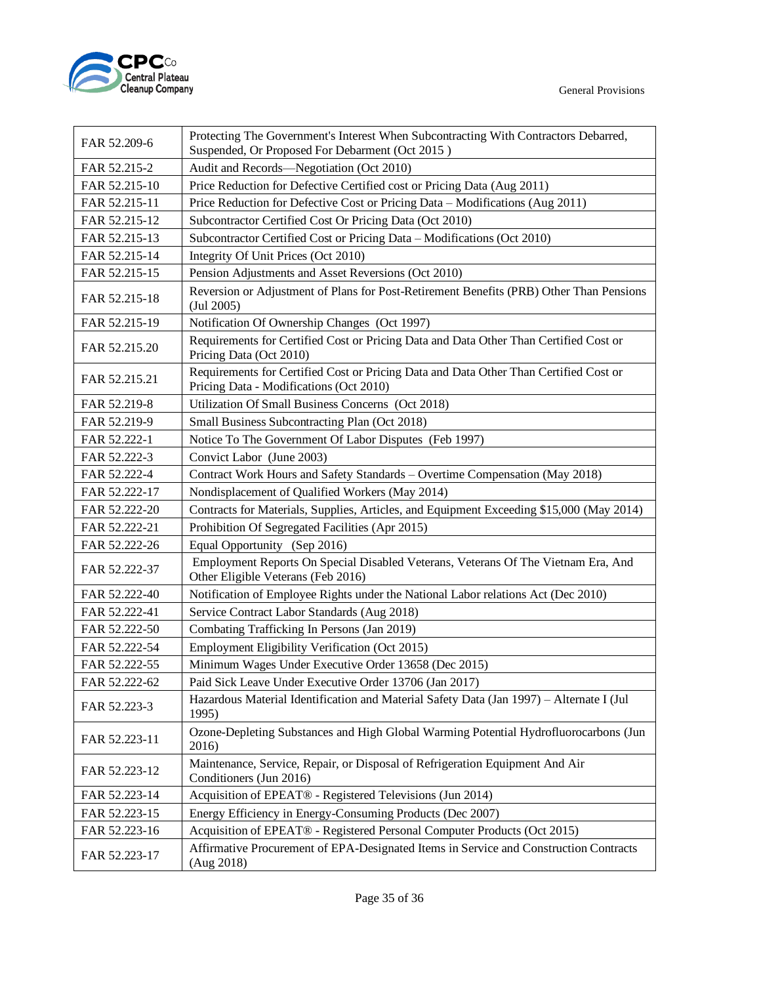

| FAR 52.209-6  | Protecting The Government's Interest When Subcontracting With Contractors Debarred,<br>Suspended, Or Proposed For Debarment (Oct 2015) |
|---------------|----------------------------------------------------------------------------------------------------------------------------------------|
| FAR 52.215-2  | Audit and Records-Negotiation (Oct 2010)                                                                                               |
| FAR 52.215-10 | Price Reduction for Defective Certified cost or Pricing Data (Aug 2011)                                                                |
| FAR 52.215-11 | Price Reduction for Defective Cost or Pricing Data - Modifications (Aug 2011)                                                          |
| FAR 52.215-12 | Subcontractor Certified Cost Or Pricing Data (Oct 2010)                                                                                |
| FAR 52.215-13 | Subcontractor Certified Cost or Pricing Data - Modifications (Oct 2010)                                                                |
| FAR 52.215-14 | Integrity Of Unit Prices (Oct 2010)                                                                                                    |
| FAR 52.215-15 | Pension Adjustments and Asset Reversions (Oct 2010)                                                                                    |
| FAR 52.215-18 | Reversion or Adjustment of Plans for Post-Retirement Benefits (PRB) Other Than Pensions<br>$($ Jul 2005 $)$                            |
| FAR 52.215-19 | Notification Of Ownership Changes (Oct 1997)                                                                                           |
| FAR 52.215.20 | Requirements for Certified Cost or Pricing Data and Data Other Than Certified Cost or<br>Pricing Data (Oct 2010)                       |
| FAR 52.215.21 | Requirements for Certified Cost or Pricing Data and Data Other Than Certified Cost or<br>Pricing Data - Modifications (Oct 2010)       |
| FAR 52.219-8  | Utilization Of Small Business Concerns (Oct 2018)                                                                                      |
| FAR 52.219-9  | Small Business Subcontracting Plan (Oct 2018)                                                                                          |
| FAR 52.222-1  | Notice To The Government Of Labor Disputes (Feb 1997)                                                                                  |
| FAR 52.222-3  | Convict Labor (June 2003)                                                                                                              |
| FAR 52.222-4  | Contract Work Hours and Safety Standards - Overtime Compensation (May 2018)                                                            |
| FAR 52.222-17 | Nondisplacement of Qualified Workers (May 2014)                                                                                        |
| FAR 52.222-20 | Contracts for Materials, Supplies, Articles, and Equipment Exceeding \$15,000 (May 2014)                                               |
| FAR 52.222-21 | Prohibition Of Segregated Facilities (Apr 2015)                                                                                        |
| FAR 52.222-26 | Equal Opportunity (Sep 2016)                                                                                                           |
| FAR 52.222-37 | Employment Reports On Special Disabled Veterans, Veterans Of The Vietnam Era, And<br>Other Eligible Veterans (Feb 2016)                |
| FAR 52.222-40 | Notification of Employee Rights under the National Labor relations Act (Dec 2010)                                                      |
| FAR 52.222-41 | Service Contract Labor Standards (Aug 2018)                                                                                            |
| FAR 52.222-50 | Combating Trafficking In Persons (Jan 2019)                                                                                            |
| FAR 52.222-54 | Employment Eligibility Verification (Oct 2015)                                                                                         |
| FAR 52.222-55 | Minimum Wages Under Executive Order 13658 (Dec 2015)                                                                                   |
| FAR 52.222-62 | Paid Sick Leave Under Executive Order 13706 (Jan 2017)                                                                                 |
| FAR 52.223-3  | Hazardous Material Identification and Material Safety Data (Jan 1997) – Alternate I (Jul<br>1995)                                      |
| FAR 52.223-11 | Ozone-Depleting Substances and High Global Warming Potential Hydrofluorocarbons (Jun<br>2016)                                          |
| FAR 52.223-12 | Maintenance, Service, Repair, or Disposal of Refrigeration Equipment And Air<br>Conditioners (Jun 2016)                                |
| FAR 52.223-14 | Acquisition of EPEAT® - Registered Televisions (Jun 2014)                                                                              |
| FAR 52.223-15 | Energy Efficiency in Energy-Consuming Products (Dec 2007)                                                                              |
| FAR 52.223-16 | Acquisition of EPEAT® - Registered Personal Computer Products (Oct 2015)                                                               |
| FAR 52.223-17 | Affirmative Procurement of EPA-Designated Items in Service and Construction Contracts<br>(Aug 2018)                                    |